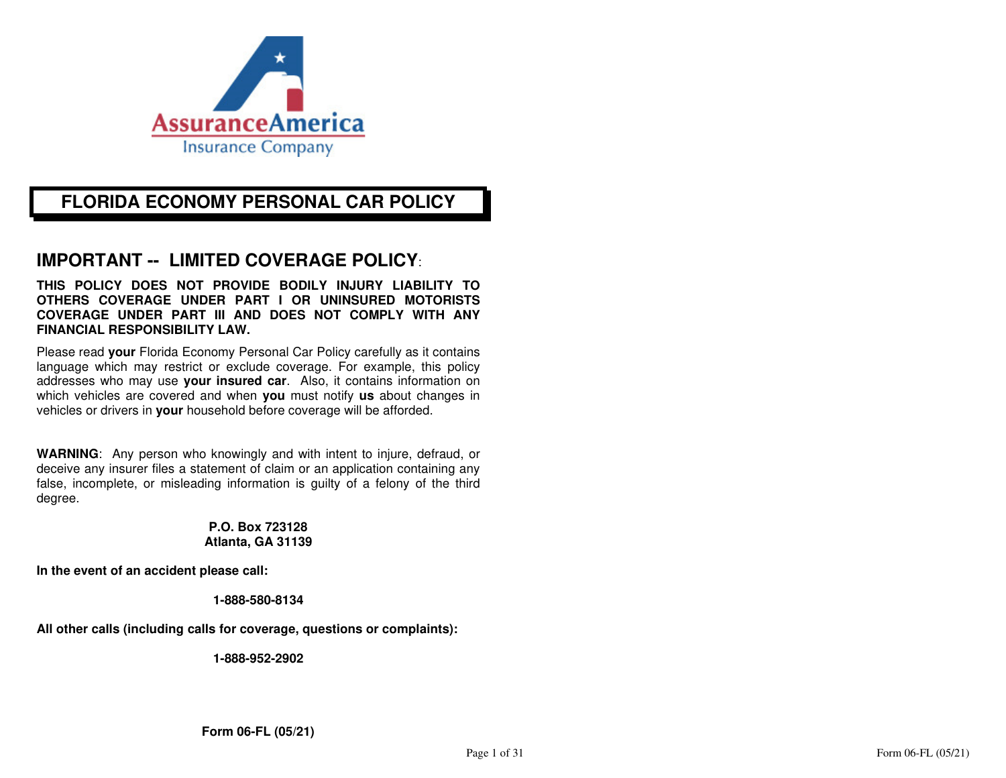

## **FLORIDA ECONOMY PERSONAL CAR POLICY**

# **IMPORTANT -- LIMITED COVERAGE POLICY**:

**THIS POLICY DOES NOT PROVIDE BODILY INJURY LIABILITY TO OTHERS COVERAGE UNDER PART I OR UNINSURED MOTORISTS COVERAGE UNDER PART III AND DOES NOT COMPLY WITH ANY FINANCIAL RESPONSIBILITY LAW.** 

Please read **your** Florida Economy Personal Car Policy carefully as it contains language which may restrict or exclude coverage. For example, this policy addresses who may use **your insured car**. Also, it contains information on which vehicles are covered and when **you** must notify **us** about changes in vehicles or drivers in **your** household before coverage will be afforded.

**WARNING**: Any person who knowingly and with intent to injure, defraud, or deceive any insurer files a statement of claim or an application containing any false, incomplete, or misleading information is guilty of a felony of the third degree.

#### **P.O. Box 723128 Atlanta, GA 31139**

**In the event of an accident please call:** 

#### **1-888-580-8134**

**All other calls (including calls for coverage, questions or complaints):** 

**1-888-952-2902**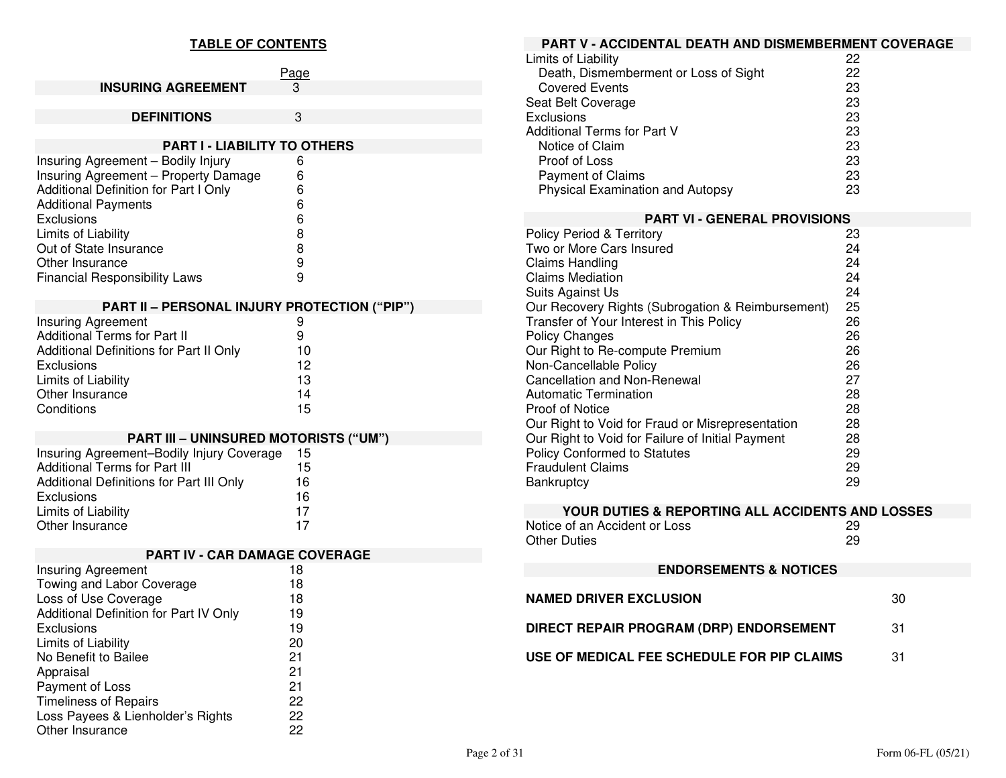### **TABLE OF CONTENTS**

|                                              | 'age |  |  |  |
|----------------------------------------------|------|--|--|--|
| <b>INSURING AGREEMENT</b>                    | З    |  |  |  |
|                                              |      |  |  |  |
| <b>DEFINITIONS</b>                           | 3    |  |  |  |
|                                              |      |  |  |  |
| <b>PART I - LIABILITY TO OTHERS</b>          |      |  |  |  |
| Insuring Agreement - Bodily Injury           | 6    |  |  |  |
| Insuring Agreement - Property Damage         | 6    |  |  |  |
| Additional Definition for Part I Only        | 6    |  |  |  |
| <b>Additional Payments</b>                   | 6    |  |  |  |
| Exclusions                                   | 6    |  |  |  |
| Limits of Liability                          | 8    |  |  |  |
| Out of State Insurance                       | 8    |  |  |  |
| Other Insurance                              | 9    |  |  |  |
| <b>Financial Responsibility Laws</b>         | 9    |  |  |  |
|                                              |      |  |  |  |
| PART II - PERSONAL INJURY PROTECTION ("PIP") |      |  |  |  |

| 9  |
|----|
| 9  |
| 10 |
| 12 |
| 13 |
| 14 |
| 15 |
|    |

### **PART III – UNINSURED MOTORISTS ("UM")**

| Insuring Agreement-Bodily Injury Coverage | 15 |  |
|-------------------------------------------|----|--|
| <b>Additional Terms for Part III</b>      | 15 |  |
| Additional Definitions for Part III Only  | 16 |  |
| Exclusions                                | 16 |  |
| Limits of Liability                       | 17 |  |
| Other Insurance                           | 17 |  |

| PART IV - CAR DAMAGE COVERAGE                 |    |  |  |  |
|-----------------------------------------------|----|--|--|--|
| <b>Insuring Agreement</b>                     | 18 |  |  |  |
| Towing and Labor Coverage                     | 18 |  |  |  |
| Loss of Use Coverage                          | 18 |  |  |  |
| <b>Additional Definition for Part IV Only</b> | 19 |  |  |  |
| Exclusions                                    | 19 |  |  |  |
| Limits of Liability                           | 20 |  |  |  |
| No Benefit to Bailee                          | 21 |  |  |  |
| Appraisal                                     | 21 |  |  |  |
| Payment of Loss                               | 21 |  |  |  |
| <b>Timeliness of Repairs</b>                  | 22 |  |  |  |
| Loss Payees & Lienholder's Rights             | 22 |  |  |  |
| Other Insurance                               | 22 |  |  |  |

| PART V - ACCIDENTAL DEATH AND DISMEMBERMENT COVERAGE         |          |    |  |  |
|--------------------------------------------------------------|----------|----|--|--|
| Limits of Liability                                          | 22       |    |  |  |
| Death, Dismemberment or Loss of Sight                        | 22       |    |  |  |
| <b>Covered Events</b>                                        | 23       |    |  |  |
| Seat Belt Coverage                                           | 23       |    |  |  |
| <b>Exclusions</b>                                            | 23       |    |  |  |
| <b>Additional Terms for Part V</b>                           | 23       |    |  |  |
| Notice of Claim                                              | 23       |    |  |  |
| Proof of Loss                                                | 23<br>23 |    |  |  |
| <b>Payment of Claims</b><br>Physical Examination and Autopsy | 23       |    |  |  |
|                                                              |          |    |  |  |
| <b>PART VI - GENERAL PROVISIONS</b>                          |          |    |  |  |
| <b>Policy Period &amp; Territory</b>                         | 23       |    |  |  |
| Two or More Cars Insured                                     | 24       |    |  |  |
| <b>Claims Handling</b>                                       | 24       |    |  |  |
| <b>Claims Mediation</b>                                      | 24       |    |  |  |
| Suits Against Us                                             | 24       |    |  |  |
| Our Recovery Rights (Subrogation & Reimbursement)            | 25       |    |  |  |
| Transfer of Your Interest in This Policy                     | 26       |    |  |  |
| <b>Policy Changes</b><br>Our Right to Re-compute Premium     | 26<br>26 |    |  |  |
| Non-Cancellable Policy                                       | 26       |    |  |  |
| <b>Cancellation and Non-Renewal</b>                          | 27       |    |  |  |
| Automatic Termination                                        | 28       |    |  |  |
| Proof of Notice                                              | 28       |    |  |  |
| Our Right to Void for Fraud or Misrepresentation             | 28       |    |  |  |
| Our Right to Void for Failure of Initial Payment             | 28       |    |  |  |
| Policy Conformed to Statutes                                 | 29       |    |  |  |
| <b>Fraudulent Claims</b>                                     | 29       |    |  |  |
| Bankruptcy                                                   | 29       |    |  |  |
| YOUR DUTIES & REPORTING ALL ACCIDENTS AND LOSSES             |          |    |  |  |
| Notice of an Accident or Loss                                | 29       |    |  |  |
| <b>Other Duties</b>                                          | 29       |    |  |  |
|                                                              |          |    |  |  |
| <b>ENDORSEMENTS &amp; NOTICES</b>                            |          |    |  |  |
| <b>NAMED DRIVER EXCLUSION</b>                                |          | 30 |  |  |
| DIRECT REPAIR PROGRAM (DRP) ENDORSEMENT                      |          | 31 |  |  |
| USE OF MEDICAL FEE SCHEDULE FOR PIP CLAIMS                   |          | 31 |  |  |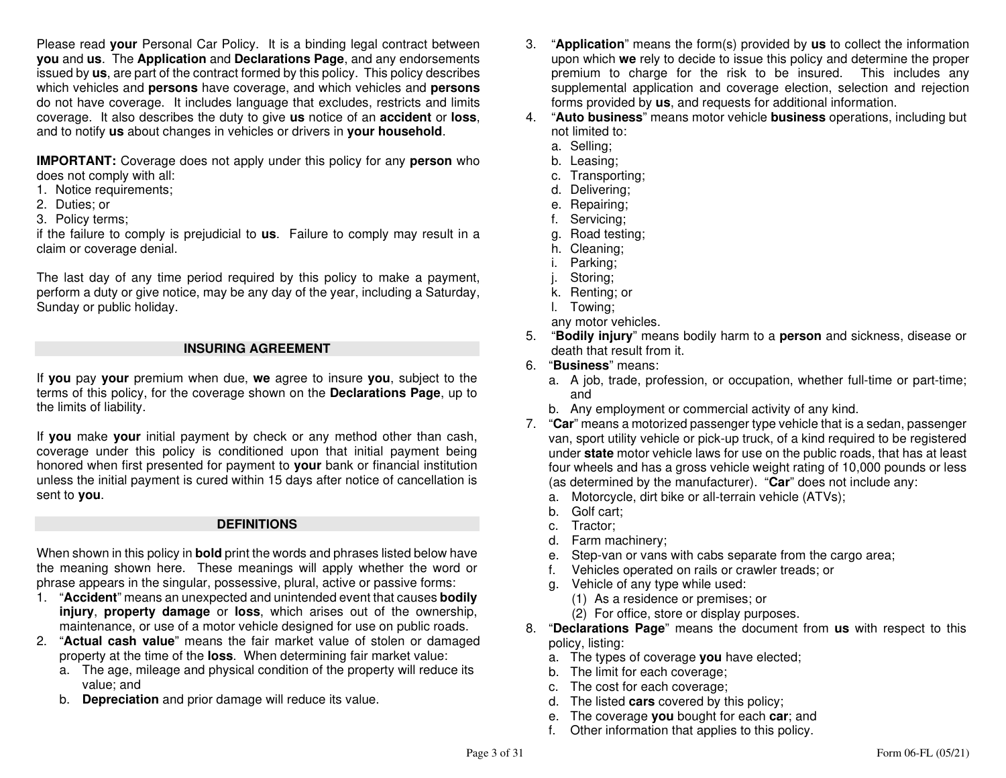Please read **your** Personal Car Policy. It is a binding legal contract between **you** and **us**. The **Application** and **Declarations Page**, and any endorsements issued by **us**, are part of the contract formed by this policy. This policy describes which vehicles and **persons** have coverage, and which vehicles and **persons** do not have coverage. It includes language that excludes, restricts and limits coverage. It also describes the duty to give **us** notice of an **accident** or **loss**, and to notify **us** about changes in vehicles or drivers in **your household**.

**IMPORTANT:** Coverage does not apply under this policy for any **person** who does not comply with all:

- 1. Notice requirements;
- 2. Duties; or
- 3. Policy terms;

 if the failure to comply is prejudicial to **us**. Failure to comply may result in a claim or coverage denial.

The last day of any time period required by this policy to make a payment, perform a duty or give notice, may be any day of the year, including a Saturday, Sunday or public holiday.

#### **INSURING AGREEMENT**

If **you** pay **your** premium when due, **we** agree to insure **you**, subject to the terms of this policy, for the coverage shown on the **Declarations Page**, up to the limits of liability.

If **you** make **your** initial payment by check or any method other than cash, coverage under this policy is conditioned upon that initial payment being honored when first presented for payment to **your** bank or financial institution unless the initial payment is cured within 15 days after notice of cancellation is sent to **you**.

#### **DEFINITIONS**

When shown in this policy in **bold** print the words and phrases listed below have the meaning shown here. These meanings will apply whether the word or phrase appears in the singular, possessive, plural, active or passive forms:

- 1. "**Accident**" means an unexpected and unintended event that causes **bodily injury**, **property damage** or **loss**, which arises out of the ownership, maintenance, or use of a motor vehicle designed for use on public roads.
- 2. "**Actual cash value**" means the fair market value of stolen or damaged property at the time of the **loss**. When determining fair market value:
	- a. The age, mileage and physical condition of the property will reduce its value; and
- b. **Depreciation** and prior damage will reduce its value.
- 3. "**Application**" means the form(s) provided by **us** to collect the information upon which **we** rely to decide to issue this policy and determine the proper premium to charge for the risk to be insured. This includes any supplemental application and coverage election, selection and rejection forms provided by **us**, and requests for additional information.
- 4. "**Auto business**" means motor vehicle **business** operations, including but not limited to:
	- a. Selling;
- b. Leasing;
- c. Transporting;
	- d. Delivering;
	- e. Repairing;
	- f. Servicing;
- g. Road testing;
	- h. Cleaning;
	- i. Parking;
	- j. Storing;
- k. Renting; or
	- l. Towing;
- any motor vehicles.
- 5. "**Bodily injury**" means bodily harm to a **person** and sickness, disease or death that result from it.
- 6. "**Business**" means:
- a. A job, trade, profession, or occupation, whether full-time or part-time; and
- b. Any employment or commercial activity of any kind.
- 7. "**Car**" means a motorized passenger type vehicle that is a sedan, passenger van, sport utility vehicle or pick-up truck, of a kind required to be registered under **state** motor vehicle laws for use on the public roads, that has at least four wheels and has a gross vehicle weight rating of 10,000 pounds or less (as determined by the manufacturer). "**Car**" does not include any:
	- a. Motorcycle, dirt bike or all-terrain vehicle (ATVs);
	- b. Golf cart;
	- c. Tractor;
- d. Farm machinery;
- e. Step-van or vans with cabs separate from the cargo area;
	- f. Vehicles operated on rails or crawler treads; or
	- g. Vehicle of any type while used:
- (1) As a residence or premises; or
	- (2) For office, store or display purposes.
- 8. "**Declarations Page**" means the document from **us** with respect to this policy, listing:
- a. The types of coverage **you** have elected;
	- b. The limit for each coverage;
- c. The cost for each coverage;
- d. The listed **cars** covered by this policy;
- e. The coverage **you** bought for each **car**; and
	- f. Other information that applies to this policy.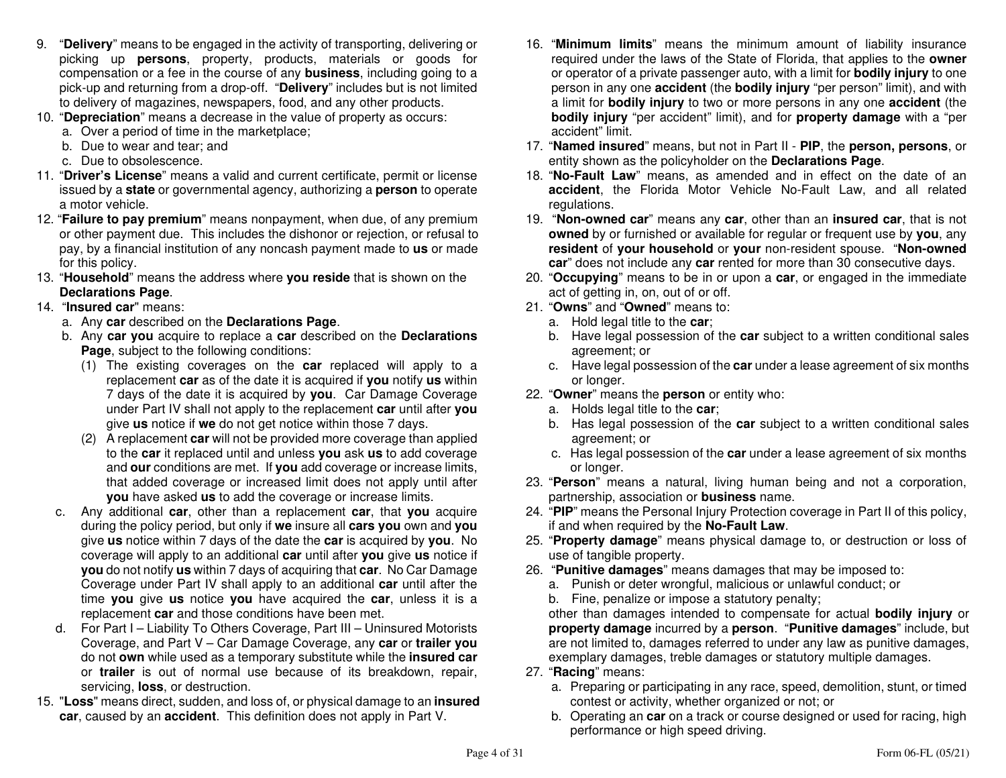- 9. "**Delivery**" means to be engaged in the activity of transporting, delivering or picking up **persons**, property, products, materials or goods for compensation or a fee in the course of any **business**, including going to a pick-up and returning from a drop-off. "**Delivery**" includes but is not limited to delivery of magazines, newspapers, food, and any other products.
- 10. "**Depreciation**" means a decrease in the value of property as occurs:
	- a. Over a period of time in the marketplace;
	- b. Due to wear and tear; and
	- c. Due to obsolescence.
- 11. "**Driver's License**" means a valid and current certificate, permit or license issued by a **state** or governmental agency, authorizing a **person** to operate a motor vehicle.
- 12. "**Failure to pay premium**" means nonpayment, when due, of any premium or other payment due. This includes the dishonor or rejection, or refusal to pay, by a financial institution of any noncash payment made to **us** or made for this policy.
- 13. "**Household**" means the address where **you reside** that is shown on the **Declarations Page**.

### 14. "**Insured car**" means:

- a. Any **car** described on the **Declarations Page**.
- b. Any **car you** acquire to replace a **car** described on the **Declarations Page.** subject to the following conditions:
- (1) The existing coverages on the **car** replaced will apply to a replacement **car** as of the date it is acquired if **you** notify **us** within 7 days of the date it is acquired by **you**. Car Damage Coverage under Part IV shall not apply to the replacement **car** until after **you**give **us** notice if **we** do not get notice within those 7 days.
	- (2) A replacement **car** will not be provided more coverage than applied to the **car** it replaced until and unless **you** ask **us** to add coverage and **our** conditions are met. If **you** add coverage or increase limits, that added coverage or increased limit does not apply until after **you** have asked **us** to add the coverage or increase limits.
- c. Any additional **car**, other than a replacement **car**, that **you** acquire during the policy period, but only if **we** insure all **cars you** own and **you** give **us** notice within 7 days of the date the **car** is acquired by **you**. No coverage will apply to an additional **car** until after **you** give **us** notice if **you** do not notify **us** within 7 days of acquiring that **car**. No Car Damage Coverage under Part IV shall apply to an additional **car** until after the time **you** give **us** notice **you** have acquired the **car**, unless it is a replacement **car** and those conditions have been met.
- d. For Part I Liability To Others Coverage, Part III Uninsured Motorists Coverage, and Part V – Car Damage Coverage, any **car** or **trailer you** do not **own** while used as a temporary substitute while the **insured car** or **trailer** is out of normal use because of its breakdown, repair, servicing, **loss**, or destruction.
- 15. "**Loss**" means direct, sudden, and loss of, or physical damage to an **insured car**, caused by an **accident**. This definition does not apply in Part V.
- 16. "**Minimum limits**" means the minimum amount of liability insurance required under the laws of the State of Florida, that applies to the **owner** or operator of a private passenger auto, with a limit for **bodily injury** to one person in any one **accident** (the **bodily injury** "per person" limit), and with a limit for **bodily injury** to two or more persons in any one **accident** (the **bodily injury** "per accident" limit), and for **property damage** with a "per accident" limit.
- 17. "**Named insured**" means, but not in Part II **PIP**, the **person, persons**, or entity shown as the policyholder on the **Declarations Page**.
- 18. "**No-Fault Law**" means, as amended and in effect on the date of an **accident**, the Florida Motor Vehicle No-Fault Law, and all related regulations.
- 19. "**Non-owned car**" means any **car**, other than an **insured car**, that is not **owned** by or furnished or available for regular or frequent use by **you**, any **resident** of **your household** or **your** non-resident spouse. "**Non-owned car**" does not include any **car** rented for more than 30 consecutive days.
- 20. "**Occupying**" means to be in or upon a **car**, or engaged in the immediate act of getting in, on, out of or off.
- 21. "**Owns**" and "**Owned**" means to:
	- a. Hold legal title to the **car**;
- b. Have legal possession of the **car** subject to a written conditional sales agreement; or
- c. Have legal possession of the **car** under a lease agreement of six months or longer.
- 22. "**Owner**" means the **person** or entity who:
	- a. Holds legal title to the **car**;
- b. Has legal possession of the **car** subject to a written conditional sales agreement; or
- c. Has legal possession of the **car** under a lease agreement of six months or longer.
- 23. "**Person**" means a natural, living human being and not a corporation, partnership, association or **business** name.
- 24. "**PIP**" means the Personal Injury Protection coverage in Part II of this policy, if and when required by the **No-Fault Law**.
- 25. "**Property damage**" means physical damage to, or destruction or loss of use of tangible property.
- 26. "**Punitive damages**" means damages that may be imposed to:
	- a. Punish or deter wrongful, malicious or unlawful conduct; or
	- b. Fine, penalize or impose a statutory penalty;

 other than damages intended to compensate for actual **bodily injury** or **property damage** incurred by a **person**. "**Punitive damages**" include, but are not limited to, damages referred to under any law as punitive damages, exemplary damages, treble damages or statutory multiple damages.

- 27. "**Racing**" means:
- a. Preparing or participating in any race, speed, demolition, stunt, or timed contest or activity, whether organized or not; or
- b. Operating an **car** on a track or course designed or used for racing, high performance or high speed driving.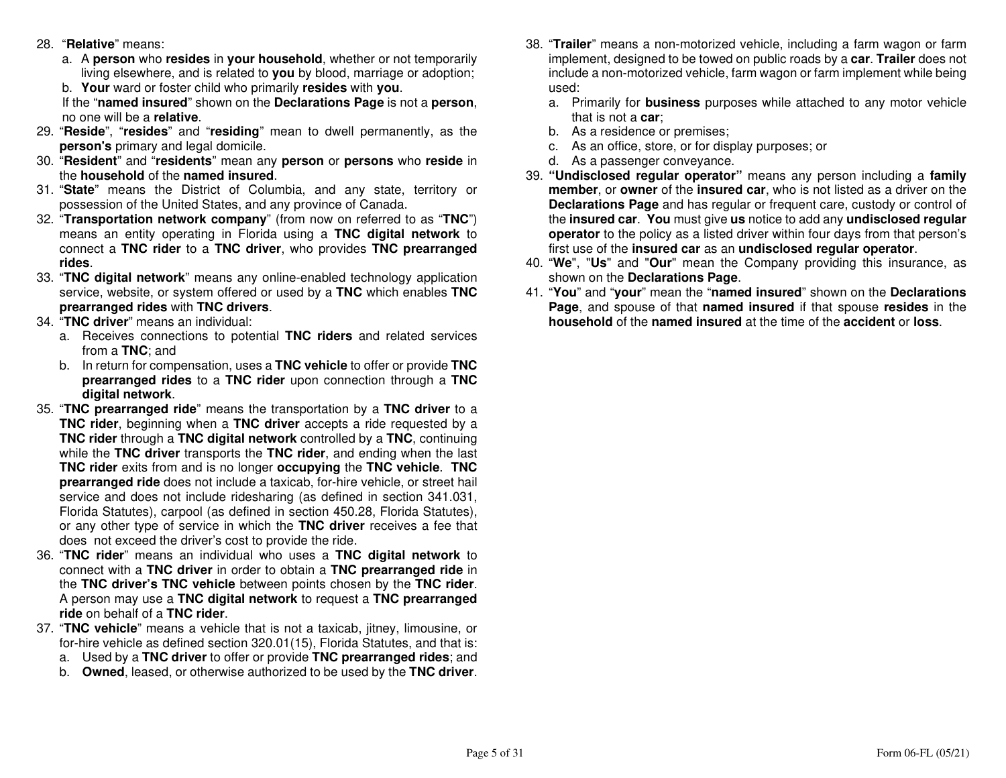- 28. "**Relative**" means:
- a. A **person** who **resides** in **your household**, whether or not temporarily living elsewhere, and is related to **you** by blood, marriage or adoption;
	- b. **Your** ward or foster child who primarily **resides** with **you**.

 If the "**named insured**" shown on the **Declarations Page** is not a **person**, no one will be a **relative**.

- 29. "**Reside**", "**resides**" and "**residing**" mean to dwell permanently, as the **person's** primary and legal domicile.
- 30. "**Resident**" and "**residents**" mean any **person** or **persons** who **reside** in the **household** of the **named insured**.
- 31. "**State**" means the District of Columbia, and any state, territory or possession of the United States, and any province of Canada.
- 32. "**Transportation network company**" (from now on referred to as "**TNC**") means an entity operating in Florida using a **TNC digital network** to connect a **TNC rider** to a **TNC driver**, who provides **TNC prearranged rides**.
- 33. "**TNC digital network**" means any online-enabled technology application service, website, or system offered or used by a **TNC** which enables **TNC prearranged rides** with **TNC drivers**.
- 34. "**TNC driver**" means an individual:
	- a. Receives connections to potential **TNC riders** and related services from a **TNC**; and
	- b. In return for compensation, uses a **TNC vehicle** to offer or provide **TNC prearranged rides** to a **TNC rider** upon connection through a **TNC digital network**.
- 35. "**TNC prearranged ride**" means the transportation by a **TNC driver** to a **TNC rider**, beginning when a **TNC driver** accepts a ride requested by a **TNC rider** through a **TNC digital network** controlled by a **TNC**, continuing while the **TNC driver** transports the **TNC rider**, and ending when the last **TNC rider** exits from and is no longer **occupying** the **TNC vehicle**. **TNC prearranged ride** does not include a taxicab, for-hire vehicle, or street hail service and does not include ridesharing (as defined in section 341.031, Florida Statutes), carpool (as defined in section 450.28, Florida Statutes), or any other type of service in which the **TNC driver** receives a fee that does not exceed the driver's cost to provide the ride.
- 36. "**TNC rider**" means an individual who uses a **TNC digital network** to connect with a **TNC driver** in order to obtain a **TNC prearranged ride** in the **TNC driver's TNC vehicle** between points chosen by the **TNC rider**. A person may use a **TNC digital network** to request a **TNC prearranged ride** on behalf of a **TNC rider**.
- 37. "**TNC vehicle**" means a vehicle that is not a taxicab, jitney, limousine, or for-hire vehicle as defined section 320.01(15), Florida Statutes, and that is:
	- a. Used by a **TNC driver** to offer or provide **TNC prearranged rides**; and
	- b. **Owned**, leased, or otherwise authorized to be used by the **TNC driver**.
- 38. "**Trailer**" means a non-motorized vehicle, including a farm wagon or farm implement, designed to be towed on public roads by a **car**. **Trailer** does not include a non-motorized vehicle, farm wagon or farm implement while being used:
	- a. Primarily for **business** purposes while attached to any motor vehicle that is not a **car**;
	- b. As a residence or premises;
	- c. As an office, store, or for display purposes; or
	- d. As a passenger conveyance.
- 39. **"Undisclosed regular operator"** means any person including a **family member**, or **owner** of the **insured car**, who is not listed as a driver on the **Declarations Page** and has regular or frequent care, custody or control of the **insured car**. **You** must give **us** notice to add any **undisclosed regular operator** to the policy as a listed driver within four days from that person's first use of the **insured car** as an **undisclosed regular operator**.
- 40. "**We**", "**Us**" and "**Our**" mean the Company providing this insurance, as shown on the **Declarations Page**.
- 41. "**You**" and "**your**" mean the "**named insured**" shown on the **Declarations Page**, and spouse of that **named insured** if that spouse **resides** in the **household** of the **named insured** at the time of the **accident** or **loss**.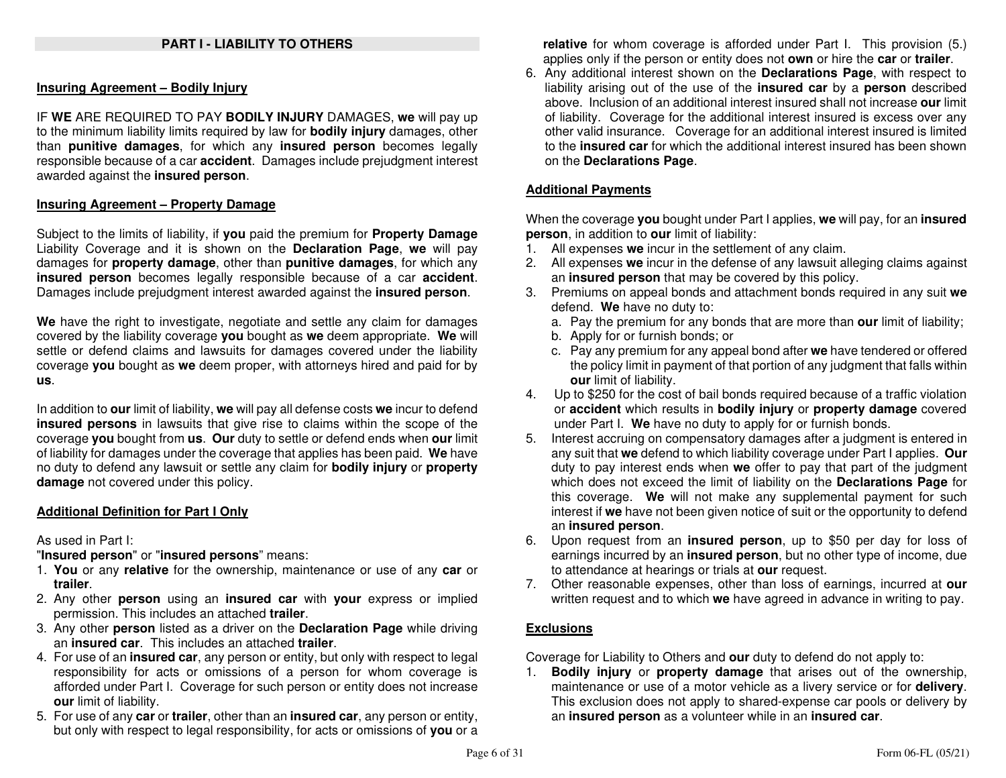#### **Insuring Agreement – Bodily Injury**

IF **WE** ARE REQUIRED TO PAY **BODILY INJURY** DAMAGES, **we** will pay up to the minimum liability limits required by law for **bodily injury** damages, other than **punitive damages**, for which any **insured person** becomes legally responsible because of a car **accident**. Damages include prejudgment interest awarded against the **insured person**.

#### **Insuring Agreement – Property Damage**

Subject to the limits of liability, if **you** paid the premium for **Property Damage** Liability Coverage and it is shown on the **Declaration Page**, **we** will pay damages for **property damage**, other than **punitive damages**, for which any **insured person** becomes legally responsible because of a car **accident**. Damages include prejudgment interest awarded against the **insured person**.

**We** have the right to investigate, negotiate and settle any claim for damages covered by the liability coverage **you** bought as **we** deem appropriate. **We** will settle or defend claims and lawsuits for damages covered under the liability coverage **you** bought as **we** deem proper, with attorneys hired and paid for by **us**.

In addition to **our** limit of liability, **we** will pay all defense costs **we** incur to defend **insured persons** in lawsuits that give rise to claims within the scope of the coverage **you** bought from **us**. **Our** duty to settle or defend ends when **our** limit of liability for damages under the coverage that applies has been paid. **We** have no duty to defend any lawsuit or settle any claim for **bodily injury** or **property damage** not covered under this policy.

### **Additional Definition for Part I Only**

As used in Part I:

"**Insured person**" or "**insured persons**" means:

- 1. **You** or any **relative** for the ownership, maintenance or use of any **car** or **trailer**.
- 2. Any other **person** using an **insured car** with **your** express or implied permission. This includes an attached **trailer**.
- 3. Any other **person** listed as a driver on the **Declaration Page** while driving an **insured car**. This includes an attached **trailer**.
- 4. For use of an **insured car**, any person or entity, but only with respect to legal responsibility for acts or omissions of a person for whom coverage is afforded under Part I. Coverage for such person or entity does not increase **our** limit of liability.
- 5. For use of any **car** or **trailer**, other than an **insured car**, any person or entity, but only with respect to legal responsibility, for acts or omissions of **you** or a

**relative** for whom coverage is afforded under Part I. This provision (5.) applies only if the person or entity does not **own** or hire the **car** or **trailer**.

 6. Any additional interest shown on the **Declarations Page**, with respect to liability arising out of the use of the **insured car** by a **person** described above. Inclusion of an additional interest insured shall not increase **our** limit of liability. Coverage for the additional interest insured is excess over any other valid insurance. Coverage for an additional interest insured is limited to the **insured car** for which the additional interest insured has been shown on the **Declarations Page**.

#### **Additional Payments**

When the coverage **you** bought under Part I applies, **we** will pay, for an **insuredperson**, in addition to **our** limit of liability:

- 1. All expenses **we** incur in the settlement of any claim.
- 2. All expenses **we** incur in the defense of any lawsuit alleging claims against an **insured person** that may be covered by this policy.
- 3. Premiums on appeal bonds and attachment bonds required in any suit **we** defend. **We** have no duty to:
- a. Pay the premium for any bonds that are more than **our** limit of liability;
	- b. Apply for or furnish bonds; or
- c. Pay any premium for any appeal bond after **we** have tendered or offered the policy limit in payment of that portion of any judgment that falls within **our** limit of liability.
- 4. Up to \$250 for the cost of bail bonds required because of a traffic violation or **accident** which results in **bodily injury** or **property damage** covered under Part I. **We** have no duty to apply for or furnish bonds.
- 5. Interest accruing on compensatory damages after a judgment is entered in any suit that **we** defend to which liability coverage under Part I applies. **Our** duty to pay interest ends when **we** offer to pay that part of the judgment which does not exceed the limit of liability on the **Declarations Page** for this coverage. **We** will not make any supplemental payment for such interest if **we** have not been given notice of suit or the opportunity to defend an **insured person**.
- 6. Upon request from an **insured person**, up to \$50 per day for loss of earnings incurred by an **insured person**, but no other type of income, due to attendance at hearings or trials at **our** request.
- 7. Other reasonable expenses, other than loss of earnings, incurred at **our** written request and to which **we** have agreed in advance in writing to pay.

### **Exclusions**

Coverage for Liability to Others and **our** duty to defend do not apply to:

 1. **Bodily injury** or **property damage** that arises out of the ownership, maintenance or use of a motor vehicle as a livery service or for **delivery**. This exclusion does not apply to shared-expense car pools or delivery by an **insured person** as a volunteer while in an **insured car**.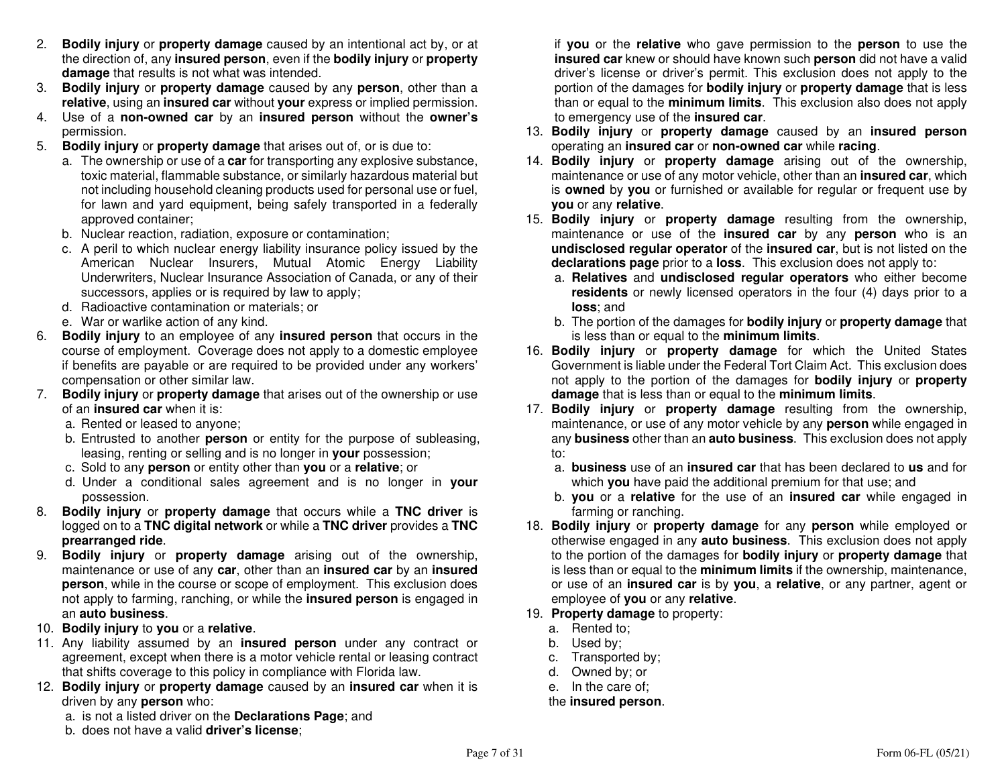- 2. **Bodily injury** or **property damage** caused by an intentional act by, or at the direction of, any **insured person**, even if the **bodily injury** or **property damage** that results is not what was intended.
- 3. **Bodily injury** or **property damage** caused by any **person**, other than a **relative**, using an **insured car** without **your** express or implied permission.
- 4. Use of a **non-owned car** by an **insured person** without the **owner's**permission.
- 5. **Bodily injury** or **property damage** that arises out of, or is due to:
- a. The ownership or use of a **car** for transporting any explosive substance, toxic material, flammable substance, or similarly hazardous material but not including household cleaning products used for personal use or fuel, for lawn and yard equipment, being safely transported in a federally approved container;
- b. Nuclear reaction, radiation, exposure or contamination;
- c. A peril to which nuclear energy liability insurance policy issued by the American Nuclear Insurers, Mutual Atomic Energy Liability Underwriters, Nuclear Insurance Association of Canada, or any of their successors, applies or is required by law to apply;
	- d. Radioactive contamination or materials; or
	- e. War or warlike action of any kind.
- 6. **Bodily injury** to an employee of any **insured person** that occurs in the course of employment. Coverage does not apply to a domestic employee if benefits are payable or are required to be provided under any workers' compensation or other similar law.
- 7. **Bodily injury** or **property damage** that arises out of the ownership or use of an **insured car** when it is:
- a. Rented or leased to anyone;
- b. Entrusted to another **person** or entity for the purpose of subleasing, leasing, renting or selling and is no longer in **your** possession;
	- c. Sold to any **person** or entity other than **you** or a **relative**; or
- d. Under a conditional sales agreement and is no longer in **your** possession.
- 8. **Bodily injury** or **property damage** that occurs while a **TNC driver** is logged on to a **TNC digital network** or while a **TNC driver** provides a **TNC prearranged ride**.
- 9. **Bodily injury** or **property damage** arising out of the ownership, maintenance or use of any **car**, other than an **insured car** by an **insured person**, while in the course or scope of employment. This exclusion does not apply to farming, ranching, or while the **insured person** is engaged in an **auto business**.
- 10. **Bodily injury** to **you** or a **relative**.
- 11. Any liability assumed by an **insured person** under any contract or agreement, except when there is a motor vehicle rental or leasing contract that shifts coverage to this policy in compliance with Florida law.
- 12. **Bodily injury** or **property damage** caused by an **insured car** when it is driven by any **person** who:
	- a. is not a listed driver on the **Declarations Page**; and
	- b. does not have a valid **driver's license**;

if **you** or the **relative** who gave permission to the **person** to use the **insured car** knew or should have known such **person** did not have a valid driver's license or driver's permit. This exclusion does not apply to the portion of the damages for **bodily injury** or **property damage** that is less than or equal to the **minimum limits**. This exclusion also does not apply to emergency use of the **insured car**.

- 13. **Bodily injury** or **property damage** caused by an **insured person** operating an **insured car** or **non-owned car** while **racing**.
- 14. **Bodily injury** or **property damage** arising out of the ownership, maintenance or use of any motor vehicle, other than an **insured car**, which is **owned** by **you** or furnished or available for regular or frequent use by **you** or any **relative**.
- 15. **Bodily injury** or **property damage** resulting from the ownership, maintenance or use of the **insured car** by any **person** who is an **undisclosed regular operator** of the **insured car**, but is not listed on the **declarations page** prior to a **loss**. This exclusion does not apply to:
	- a. **Relatives** and **undisclosed regular operators** who either become **residents** or newly licensed operators in the four (4) days prior to a **loss**; and
	- b. The portion of the damages for **bodily injury** or **property damage** that is less than or equal to the **minimum limits**.
- 16. **Bodily injury** or **property damage** for which the United States Government is liable under the Federal Tort Claim Act. This exclusion does not apply to the portion of the damages for **bodily injury** or **property damage** that is less than or equal to the **minimum limits**.
- 17. **Bodily injury** or **property damage** resulting from the ownership, maintenance, or use of any motor vehicle by any **person** while engaged in any **business** other than an **auto business**. This exclusion does not apply to:
	- a. **business** use of an **insured car** that has been declared to **us** and for which **you** have paid the additional premium for that use; and
	- b. **you** or a **relative** for the use of an **insured car** while engaged in farming or ranching.
- 18. **Bodily injury** or **property damage** for any **person** while employed or otherwise engaged in any **auto business**. This exclusion does not apply to the portion of the damages for **bodily injury** or **property damage** that is less than or equal to the **minimum limits** if the ownership, maintenance, or use of an **insured car** is by **you**, a **relative**, or any partner, agent or employee of **you** or any **relative**.
- 19. **Property damage** to property:
	- a. Rented to;
	- b. Used by;
- c. Transported by;
	- d. Owned by; or
- e. In the care of;

### the **insured person**.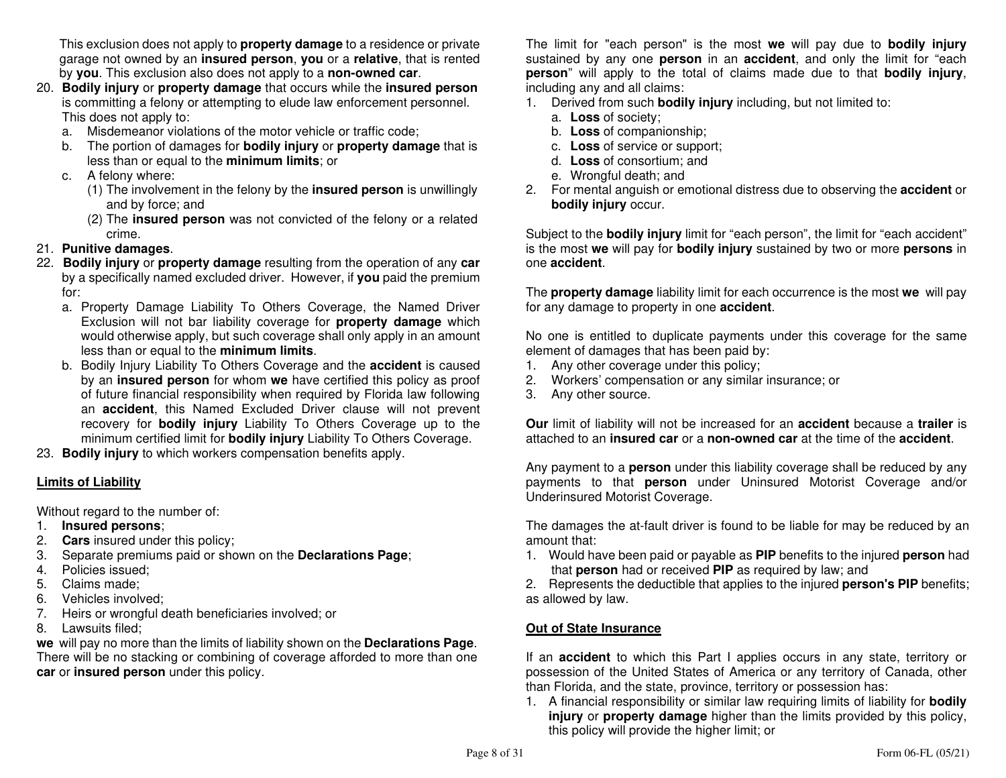This exclusion does not apply to **property damage** to a residence or private garage not owned by an **insured person**, **you** or a **relative**, that is rented by **you**. This exclusion also does not apply to a **non-owned car**.

- 20. **Bodily injury** or **property damage** that occurs while the **insured person** is committing a felony or attempting to elude law enforcement personnel. This does not apply to:
- a. Misdemeanor violations of the motor vehicle or traffic code;
- b. The portion of damages for **bodily injury** or **property damage** that is less than or equal to the **minimum limits**; or
	- c. A felony where:
- (1) The involvement in the felony by the **insured person** is unwillingly and by force; and
- (2) The **insured person** was not convicted of the felony or a related crime.
- 21. **Punitive damages**.
- 22. **Bodily injury** or **property damage** resulting from the operation of any **car** by a specifically named excluded driver. However, if **you** paid the premium for:
- a. Property Damage Liability To Others Coverage, the Named Driver Exclusion will not bar liability coverage for **property damage** which would otherwise apply, but such coverage shall only apply in an amount less than or equal to the **minimum limits**.
- b. Bodily Injury Liability To Others Coverage and the **accident** is caused by an **insured person** for whom **we** have certified this policy as proof of future financial responsibility when required by Florida law following an **accident**, this Named Excluded Driver clause will not prevent recovery for **bodily injury** Liability To Others Coverage up to the minimum certified limit for **bodily injury** Liability To Others Coverage.
- 23. **Bodily injury** to which workers compensation benefits apply.

### **Limits of Liability**

Without regard to the number of:

- 1. **Insured persons**;
- 2. **Cars** insured under this policy;
- 3. Separate premiums paid or shown on the **Declarations Page**;
- 4. Policies issued;
- 5. Claims made;
- 6. Vehicles involved;
- 7. Heirs or wrongful death beneficiaries involved; or
- 8. Lawsuits filed;

 **we** will pay no more than the limits of liability shown on the **Declarations Page**. There will be no stacking or combining of coverage afforded to more than one **car** or **insured person** under this policy.

The limit for "each person" is the most **we** will pay due to **bodily injury** sustained by any one **person** in an **accident**, and only the limit for "each **person**" will apply to the total of claims made due to that **bodily injury**, including any and all claims:

- 1. Derived from such **bodily injury** including, but not limited to:
	- a. **Loss** of society;
	- b. **Loss** of companionship;
- c. **Loss** of service or support;
	- d. **Loss** of consortium; and
	- e. Wrongful death; and
- 2. For mental anguish or emotional distress due to observing the **accident** or **bodily injury** occur.

Subject to the **bodily injury** limit for "each person", the limit for "each accident" is the most **we** will pay for **bodily injury** sustained by two or more **persons** in one **accident**.

The **property damage** liability limit for each occurrence is the most **we** will pay for any damage to property in one **accident**.

No one is entitled to duplicate payments under this coverage for the same element of damages that has been paid by:

- 1. Any other coverage under this policy;
- 2. Workers' compensation or any similar insurance; or
- 3. Any other source.

**Our** limit of liability will not be increased for an **accident** because a **trailer** is attached to an **insured car** or a **non-owned car** at the time of the **accident**.

Any payment to a **person** under this liability coverage shall be reduced by any payments to that **person** under Uninsured Motorist Coverage and/or Underinsured Motorist Coverage.

The damages the at-fault driver is found to be liable for may be reduced by an amount that:

 1. Would have been paid or payable as **PIP** benefits to the injured **person** had that **person** had or received **PIP** as required by law; and

 2. Represents the deductible that applies to the injured **person's PIP** benefits; as allowed by law.

### **Out of State Insurance**

If an **accident** to which this Part I applies occurs in any state, territory or possession of the United States of America or any territory of Canada, other than Florida, and the state, province, territory or possession has:

 1. A financial responsibility or similar law requiring limits of liability for **bodily injury** or **property damage** higher than the limits provided by this policy, this policy will provide the higher limit; or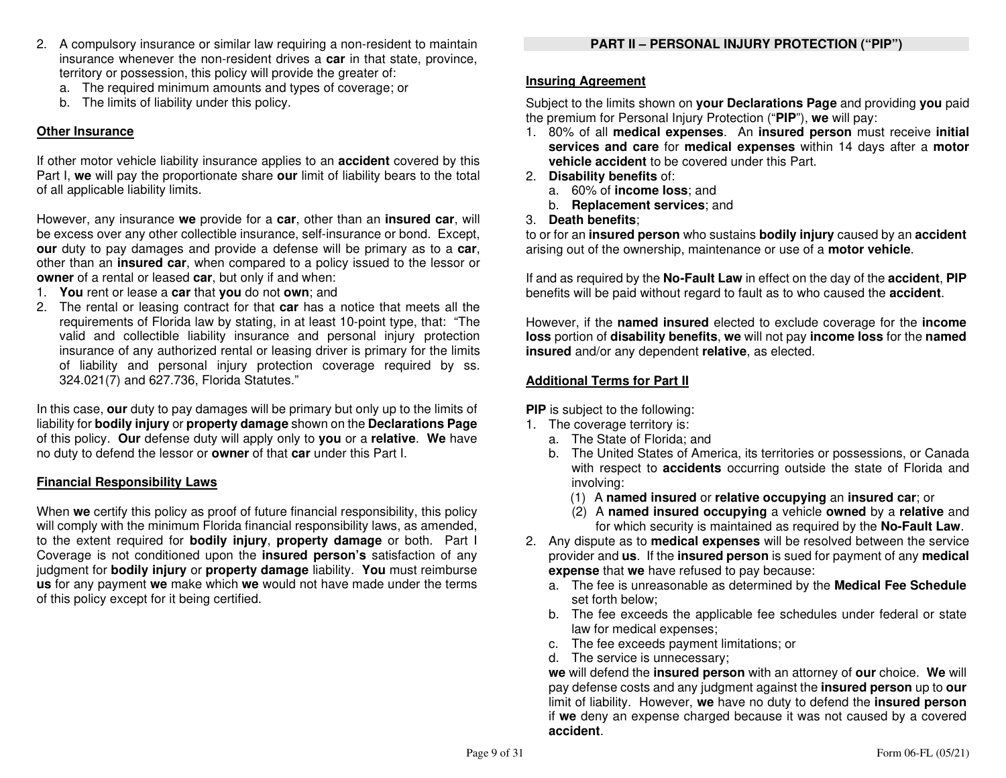- 2. A compulsory insurance or similar law requiring a non-resident to maintain insurance whenever the non-resident drives a **car** in that state, province, territory or possession, this policy will provide the greater of:
	- a. The required minimum amounts and types of coverage; or
	- b. The limits of liability under this policy.

### **Other Insurance**

If other motor vehicle liability insurance applies to an **accident** covered by this Part I, **we** will pay the proportionate share **our** limit of liability bears to the total of all applicable liability limits.

However, any insurance **we** provide for a **car**, other than an **insured car**, will be excess over any other collectible insurance, self-insurance or bond. Except, **our** duty to pay damages and provide a defense will be primary as to a **car**, other than an **insured car**, when compared to a policy issued to the lessor or**owner** of a rental or leased **car**, but only if and when:

- 1. **You** rent or lease a **car** that **you** do not **own**; and
- 2. The rental or leasing contract for that **car** has a notice that meets all the requirements of Florida law by stating, in at least 10-point type, that: "The valid and collectible liability insurance and personal injury protection insurance of any authorized rental or leasing driver is primary for the limits of liability and personal injury protection coverage required by ss. 324.021(7) and 627.736, Florida Statutes."

In this case, **our** duty to pay damages will be primary but only up to the limits of liability for **bodily injury** or **property damage** shown on the **Declarations Page** of this policy. **Our** defense duty will apply only to **you** or a **relative**. **We** have no duty to defend the lessor or **owner** of that **car** under this Part I.

### **Financial Responsibility Laws**

When **we** certify this policy as proof of future financial responsibility, this policy will comply with the minimum Florida financial responsibility laws, as amended, to the extent required for **bodily injury**, **property damage** or both. Part I Coverage is not conditioned upon the **insured person's** satisfaction of any judgment for **bodily injury** or **property damage** liability. **You** must reimburse **us** for any payment **we** make which **we** would not have made under the terms of this policy except for it being certified.

### **Insuring Agreement**

Subject to the limits shown on **your Declarations Page** and providing **you** paid the premium for Personal Injury Protection ("**PIP**"), **we** will pay:

- 1. 80% of all **medical expenses**. An **insured person** must receive **initial services and care** for **medical expenses** within 14 days after a **motor vehicle accident** to be covered under this Part.
- 2. **Disability benefits** of:
- a. 60% of **income loss**; and
- b. **Replacement services**; and
- 3. **Death benefits**;

 to or for an **insured person** who sustains **bodily injury** caused by an **accident** arising out of the ownership, maintenance or use of a **motor vehicle**.

If and as required by the **No-Fault Law** in effect on the day of the **accident**, **PIP**benefits will be paid without regard to fault as to who caused the **accident**.

However, if the **named insured** elected to exclude coverage for the **income loss** portion of **disability benefits**, **we** will not pay **income loss** for the **named insured** and/or any dependent **relative**, as elected.

### **Additional Terms for Part II**

**PIP** is subject to the following:

- 1. The coverage territory is:
	- a. The State of Florida; and
	- b. The United States of America, its territories or possessions, or Canada with respect to **accidents** occurring outside the state of Florida and involving:
- (1) A **named insured** or **relative occupying** an **insured car**; or
	- (2) A **named insured occupying** a vehicle **owned** by a **relative** and for which security is maintained as required by the **No-Fault Law**.
- 2. Any dispute as to **medical expenses** will be resolved between the service provider and **us**. If the **insured person** is sued for payment of any **medical expense** that **we** have refused to pay because:
	- a. The fee is unreasonable as determined by the **Medical Fee Schedule**set forth below;
	- b. The fee exceeds the applicable fee schedules under federal or state law for medical expenses;
	- c. The fee exceeds payment limitations; or
	- d. The service is unnecessary;

 **we** will defend the **insured person** with an attorney of **our** choice. **We** will pay defense costs and any judgment against the **insured person** up to **our**  limit of liability. However, **we** have no duty to defend the **insured person** if **we** deny an expense charged because it was not caused by a covered **accident**.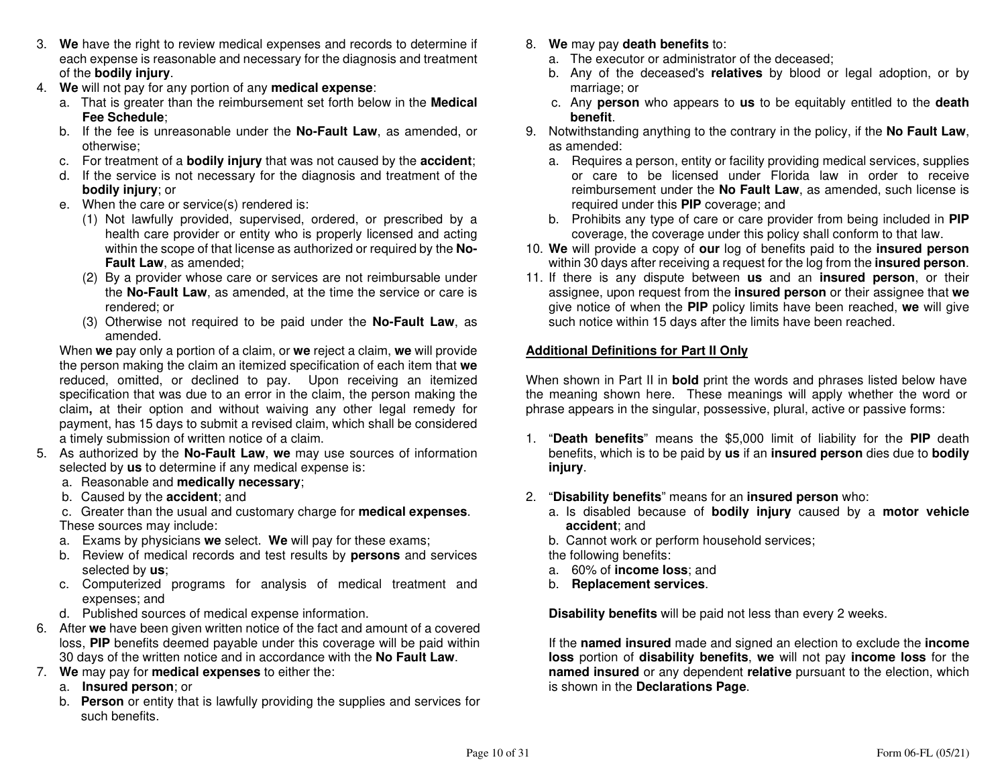- 3. **We** have the right to review medical expenses and records to determine if each expense is reasonable and necessary for the diagnosis and treatment of the **bodily injury**.
- 4. **We** will not pay for any portion of any **medical expense**:
	- a. That is greater than the reimbursement set forth below in the **Medical Fee Schedule**;
	- b. If the fee is unreasonable under the **No-Fault Law**, as amended, or otherwise;
	- c. For treatment of a **bodily injury** that was not caused by the **accident**;
	- d. If the service is not necessary for the diagnosis and treatment of the **bodily injury**; or
	- e. When the care or service(s) rendered is:
	- (1) Not lawfully provided, supervised, ordered, or prescribed by a health care provider or entity who is properly licensed and acting within the scope of that license as authorized or required by the **No-Fault Law**, as amended;
		- (2) By a provider whose care or services are not reimbursable under the **No-Fault Law**, as amended, at the time the service or care is rendered; or
		- (3) Otherwise not required to be paid under the **No-Fault Law**, as amended.

 When **we** pay only a portion of a claim, or **we** reject a claim, **we** will provide the person making the claim an itemized specification of each item that **we** reduced, omitted, or declined to pay. Upon receiving an itemized specification that was due to an error in the claim, the person making the claim**,** at their option and without waiving any other legal remedy for payment, has 15 days to submit a revised claim, which shall be considered a timely submission of written notice of a claim.

- 5. As authorized by the **No-Fault Law**, **we** may use sources of information selected by **us** to determine if any medical expense is:
	- a. Reasonable and **medically necessary**;
	- b. Caused by the **accident**; and

 c. Greater than the usual and customary charge for **medical expenses**. These sources may include:

- a. Exams by physicians **we** select. **We** will pay for these exams;
- b. Review of medical records and test results by **persons** and services selected by **us**;
- c. Computerized programs for analysis of medical treatment and expenses; and
- d. Published sources of medical expense information.
- 6. After **we** have been given written notice of the fact and amount of a covered loss, **PIP** benefits deemed payable under this coverage will be paid within 30 days of the written notice and in accordance with the **No Fault Law**.
- 7. **We** may pay for **medical expenses** to either the:
- a. **Insured person**; or
	- b. **Person** or entity that is lawfully providing the supplies and services for such benefits.
- 8. **We** may pay **death benefits** to:
	- a. The executor or administrator of the deceased;
	- b. Any of the deceased's **relatives** by blood or legal adoption, or by marriage; or
- c. Any **person** who appears to **us** to be equitably entitled to the **death benefit**.
- 9. Notwithstanding anything to the contrary in the policy, if the **No Fault Law**, as amended:
- a. Requires a person, entity or facility providing medical services, supplies or care to be licensed under Florida law in order to receive reimbursement under the **No Fault Law**, as amended, such license is required under this **PIP** coverage; and
- b. Prohibits any type of care or care provider from being included in **PIP**coverage, the coverage under this policy shall conform to that law.
- 10. **We** will provide a copy of **our** log of benefits paid to the **insured person**within 30 days after receiving a request for the log from the **insured person**.
- 11. If there is any dispute between **us** and an **insured person**, or their assignee, upon request from the **insured person** or their assignee that **we** give notice of when the **PIP** policy limits have been reached, **we** will give such notice within 15 days after the limits have been reached.

### **Additional Definitions for Part II Only**

When shown in Part II in **bold** print the words and phrases listed below have the meaning shown here. These meanings will apply whether the word or phrase appears in the singular, possessive, plural, active or passive forms:

- 1. "**Death benefits**" means the \$5,000 limit of liability for the **PIP** death benefits, which is to be paid by **us** if an **insured person** dies due to **bodily injury**.
- 2. "**Disability benefits**" means for an **insured person** who:
	- a. Is disabled because of **bodily injury** caused by a **motor vehicle accident**; and
- b. Cannot work or perform household services;

the following benefits:

- a. 60% of **income loss**; and
	- b. **Replacement services**.

**Disability benefits** will be paid not less than every 2 weeks.

 If the **named insured** made and signed an election to exclude the **income loss** portion of **disability benefits**, **we** will not pay **income loss** for the **named insured** or any dependent **relative** pursuant to the election, which is shown in the **Declarations Page**.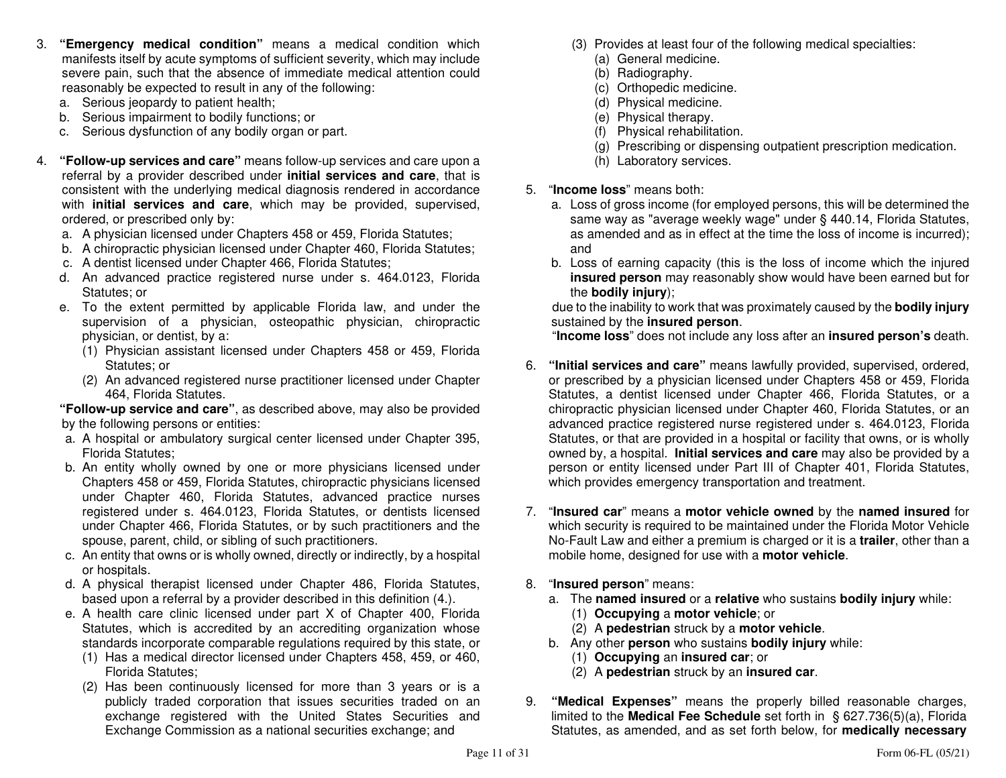- 3. **"Emergency medical condition"** means a medical condition which manifests itself by acute symptoms of sufficient severity, which may include severe pain, such that the absence of immediate medical attention could reasonably be expected to result in any of the following:
	- a. Serious jeopardy to patient health;
- b. Serious impairment to bodily functions; or
- c. Serious dysfunction of any bodily organ or part.
- 4. **"Follow-up services and care"** means follow-up services and care upon a referral by a provider described under **initial services and care**, that is consistent with the underlying medical diagnosis rendered in accordance with **initial services and care**, which may be provided, supervised, ordered, or prescribed only by:
- a. A physician licensed under Chapters 458 or 459, Florida Statutes;
- b. A chiropractic physician licensed under Chapter 460, Florida Statutes;
	- c. A dentist licensed under Chapter 466, Florida Statutes;
	- d. An advanced practice registered nurse under s. 464.0123, Florida Statutes; or
	- e. To the extent permitted by applicable Florida law, and under the supervision of a physician, osteopathic physician, chiropractic physician, or dentist, by a:
		- (1) Physician assistant licensed under Chapters 458 or 459, Florida Statutes; or
		- (2) An advanced registered nurse practitioner licensed under Chapter 464, Florida Statutes.

 **"Follow-up service and care"**, as described above, may also be provided by the following persons or entities:

- a. A hospital or ambulatory surgical center licensed under Chapter 395, Florida Statutes;
- b. An entity wholly owned by one or more physicians licensed under Chapters 458 or 459, Florida Statutes, chiropractic physicians licensed under Chapter 460, Florida Statutes, advanced practice nurses registered under s. 464.0123, Florida Statutes, or dentists licensed under Chapter 466, Florida Statutes, or by such practitioners and the spouse, parent, child, or sibling of such practitioners.
- c. An entity that owns or is wholly owned, directly or indirectly, by a hospital or hospitals.
- d. A physical therapist licensed under Chapter 486, Florida Statutes, based upon a referral by a provider described in this definition (4.).
- e. A health care clinic licensed under part X of Chapter 400, Florida Statutes, which is accredited by an accrediting organization whose standards incorporate comparable regulations required by this state, or
	- (1) Has a medical director licensed under Chapters 458, 459, or 460, Florida Statutes;
	- (2) Has been continuously licensed for more than 3 years or is a publicly traded corporation that issues securities traded on an exchange registered with the United States Securities and Exchange Commission as a national securities exchange; and
- (3) Provides at least four of the following medical specialties:
	- (a) General medicine.
	- (b) Radiography.
	- (c) Orthopedic medicine.
	- (d) Physical medicine.
	- (e) Physical therapy.
	- (f) Physical rehabilitation.
	- (g) Prescribing or dispensing outpatient prescription medication.
	- (h) Laboratory services.
- 5. "**Income loss**" means both:
- a. Loss of gross income (for employed persons, this will be determined the same way as "average weekly wage" under § 440.14, Florida Statutes, as amended and as in effect at the time the loss of income is incurred); and
- b. Loss of earning capacity (this is the loss of income which the injured **insured person** may reasonably show would have been earned but forthe **bodily injury**);

 due to the inability to work that was proximately caused by the **bodily injury**sustained by the **insured person**.

"**Income loss**" does not include any loss after an **insured person's** death.

- 6. **"Initial services and care"** means lawfully provided, supervised, ordered, or prescribed by a physician licensed under Chapters 458 or 459, Florida Statutes, a dentist licensed under Chapter 466, Florida Statutes, or a chiropractic physician licensed under Chapter 460, Florida Statutes, or an advanced practice registered nurse registered under s. 464.0123, Florida Statutes, or that are provided in a hospital or facility that owns, or is wholly owned by, a hospital. **Initial services and care** may also be provided by a person or entity licensed under Part III of Chapter 401, Florida Statutes, which provides emergency transportation and treatment.
- 7. "**Insured car**" means a **motor vehicle owned** by the **named insured** for which security is required to be maintained under the Florida Motor Vehicle No-Fault Law and either a premium is charged or it is a **trailer**, other than a mobile home, designed for use with a **motor vehicle**.
- 8. "**Insured person**" means:
- a. The **named insured** or a **relative** who sustains **bodily injury** while:
	- (1) **Occupying** a **motor vehicle**; or
- (2) A **pedestrian** struck by a **motor vehicle**.
- b. Any other **person** who sustains **bodily injury** while:
	- (1) **Occupying** an **insured car**; or
- (2) A **pedestrian** struck by an **insured car**.
- 9. **"Medical Expenses"** means the properly billed reasonable charges, limited to the **Medical Fee Schedule** set forth in § 627.736(5)(a), Florida Statutes, as amended, and as set forth below, for **medically necessary**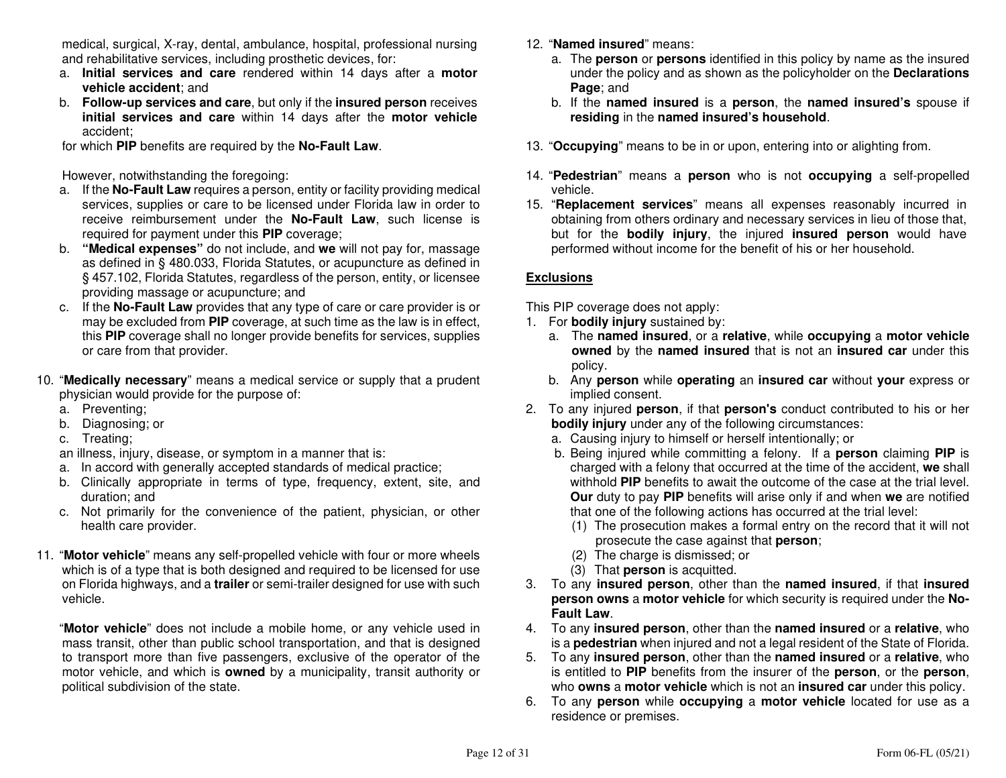medical, surgical, X-ray, dental, ambulance, hospital, professional nursing and rehabilitative services, including prosthetic devices, for:

- a. **Initial services and care** rendered within 14 days after a **motor vehicle accident**; and
- b. **Follow-up services and care**, but only if the **insured person** receives **initial services and care** within 14 days after the **motor vehicle**accident;

for which **PIP** benefits are required by the **No-Fault Law**.

However, notwithstanding the foregoing:

- a. If the **No-Fault Law** requires a person, entity or facility providing medical services, supplies or care to be licensed under Florida law in order to receive reimbursement under the **No-Fault Law**, such license is required for payment under this **PIP** coverage;
- b. **"Medical expenses"** do not include, and **we** will not pay for, massage as defined in § 480.033, Florida Statutes, or acupuncture as defined in § 457.102, Florida Statutes, regardless of the person, entity, or licensee providing massage or acupuncture; and
- c. If the **No-Fault Law** provides that any type of care or care provider is or may be excluded from **PIP** coverage, at such time as the law is in effect, this **PIP** coverage shall no longer provide benefits for services, supplies or care from that provider.
- 10. "**Medically necessary**" means a medical service or supply that a prudent physician would provide for the purpose of:
	- a. Preventing;
- b. Diagnosing; or
	- c. Treating;

an illness, injury, disease, or symptom in a manner that is:

- a. In accord with generally accepted standards of medical practice;
- b. Clinically appropriate in terms of type, frequency, extent, site, and duration; and
- c. Not primarily for the convenience of the patient, physician, or other health care provider.
- 11. "**Motor vehicle**" means any self-propelled vehicle with four or more wheels which is of a type that is both designed and required to be licensed for use on Florida highways, and a **trailer** or semi-trailer designed for use with such vehicle.

 "**Motor vehicle**" does not include a mobile home, or any vehicle used in mass transit, other than public school transportation, and that is designed to transport more than five passengers, exclusive of the operator of the motor vehicle, and which is **owned** by a municipality, transit authority or political subdivision of the state.

- 12. "**Named insured**" means:
- a. The **person** or **persons** identified in this policy by name as the insured under the policy and as shown as the policyholder on the **Declarations Page**; and
- b. If the **named insured** is a **person**, the **named insured's** spouse if **residing** in the **named insured's household**.
- 13. "**Occupying**" means to be in or upon, entering into or alighting from.
- 14. "**Pedestrian**" means a **person** who is not **occupying** a self-propelled vehicle.
- 15. "**Replacement services**" means all expenses reasonably incurred in obtaining from others ordinary and necessary services in lieu of those that, but for the **bodily injury**, the injured **insured person** would have performed without income for the benefit of his or her household.

### **Exclusions**

This PIP coverage does not apply:

- 1. For **bodily injury** sustained by:
- a. The **named insured**, or a **relative**, while **occupying** a **motor vehicle owned** by the **named insured** that is not an **insured car** under this policy.
- b. Any **person** while **operating** an **insured car** without **your** express or implied consent.
- 2. To any injured **person**, if that **person's** conduct contributed to his or her **bodily injury** under any of the following circumstances:
	- a. Causing injury to himself or herself intentionally; or
- b. Being injured while committing a felony. If a **person** claiming **PIP** is charged with a felony that occurred at the time of the accident, **we** shall withhold **PIP** benefits to await the outcome of the case at the trial level. **Our** duty to pay **PIP** benefits will arise only if and when **we** are notified that one of the following actions has occurred at the trial level:
- (1) The prosecution makes a formal entry on the record that it will not prosecute the case against that **person**;
	- (2) The charge is dismissed; or
	- (3) That **person** is acquitted.
- 3. To any **insured person**, other than the **named insured**, if that **insured person owns** a **motor vehicle** for which security is required under the **No-Fault Law**.
- 4. To any **insured person**, other than the **named insured** or a **relative**, who is a **pedestrian** when injured and not a legal resident of the State of Florida.
- 5. To any **insured person**, other than the **named insured** or a **relative**, who is entitled to **PIP** benefits from the insurer of the **person**, or the **person**, who **owns** a **motor vehicle** which is not an **insured car** under this policy.
- 6. To any **person** while **occupying** a **motor vehicle** located for use as a residence or premises.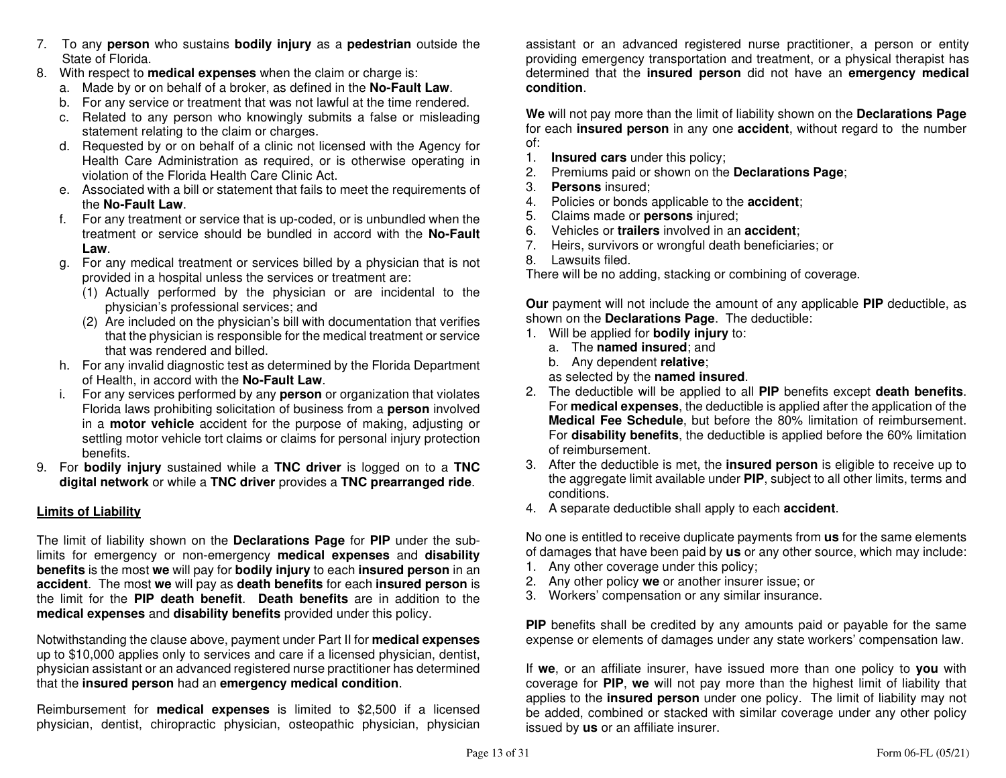- 7. To any **person** who sustains **bodily injury** as a **pedestrian** outside the State of Florida.
- 8. With respect to **medical expenses** when the claim or charge is:
- a. Made by or on behalf of a broker, as defined in the **No-Fault Law**.
- b. For any service or treatment that was not lawful at the time rendered.
- c. Related to any person who knowingly submits a false or misleading statement relating to the claim or charges.
- d. Requested by or on behalf of a clinic not licensed with the Agency for Health Care Administration as required, or is otherwise operating in violation of the Florida Health Care Clinic Act.
	- e. Associated with a bill or statement that fails to meet the requirements of the **No-Fault Law**.
- f. For any treatment or service that is up-coded, or is unbundled when the treatment or service should be bundled in accord with the **No-Fault Law**.
	- g. For any medical treatment or services billed by a physician that is not provided in a hospital unless the services or treatment are:
- (1) Actually performed by the physician or are incidental to the physician's professional services; and
- (2) Are included on the physician's bill with documentation that verifies that the physician is responsible for the medical treatment or service that was rendered and billed.
- h. For any invalid diagnostic test as determined by the Florida Department of Health, in accord with the **No-Fault Law**.
- i. For any services performed by any **person** or organization that violates Florida laws prohibiting solicitation of business from a **person** involved in a **motor vehicle** accident for the purpose of making, adjusting or settling motor vehicle tort claims or claims for personal injury protection benefits.
- 9. For **bodily injury** sustained while a **TNC driver** is logged on to a **TNC digital network** or while a **TNC driver** provides a **TNC prearranged ride**.

### **Limits of Liability**

The limit of liability shown on the **Declarations Page** for **PIP** under the sublimits for emergency or non-emergency **medical expenses** and **disability benefits** is the most **we** will pay for **bodily injury** to each **insured person** in an **accident**. The most **we** will pay as **death benefits** for each **insured person** is the limit for the **PIP death benefit**. **Death benefits** are in addition to the **medical expenses** and **disability benefits** provided under this policy.

Notwithstanding the clause above, payment under Part II for **medical expenses** up to \$10,000 applies only to services and care if a licensed physician, dentist, physician assistant or an advanced registered nurse practitioner has determined that the **insured person** had an **emergency medical condition**.

Reimbursement for **medical expenses** is limited to \$2,500 if a licensed physician, dentist, chiropractic physician, osteopathic physician, physician

assistant or an advanced registered nurse practitioner, a person or entity providing emergency transportation and treatment, or a physical therapist has determined that the **insured person** did not have an **emergency medical condition**.

**We** will not pay more than the limit of liability shown on the **Declarations Page** for each **insured person** in any one **accident**, without regard to the number of:

- $1<sub>1</sub>$ 1. **Insured cars** under this policy;
- 2. Premiums paid or shown on the **Declarations Page**;
- 3. **Persons** insured;
- 4. Policies or bonds applicable to the **accident**;
- 5. Claims made or **persons** injured;
- 6. Vehicles or **trailers** involved in an **accident**;
- 7. Heirs, survivors or wrongful death beneficiaries; or
- 8. Lawsuits filed.

There will be no adding, stacking or combining of coverage.

**Our** payment will not include the amount of any applicable **PIP** deductible, as shown on the **Declarations Page**. The deductible:

- 1. Will be applied for **bodily injury** to:
	- a. The **named insured**; and
	- b. Any dependent **relative**;

as selected by the **named insured**.

- 2. The deductible will be applied to all **PIP** benefits except **death benefits**. For **medical expenses**, the deductible is applied after the application of the **Medical Fee Schedule**, but before the 80% limitation of reimbursement. For **disability benefits**, the deductible is applied before the 60% limitation of reimbursement.
- 3. After the deductible is met, the **insured person** is eligible to receive up to the aggregate limit available under **PIP**, subject to all other limits, terms and conditions.
- 4. A separate deductible shall apply to each **accident**.

No one is entitled to receive duplicate payments from **us** for the same elements of damages that have been paid by **us** or any other source, which may include:

- 1. Any other coverage under this policy;
- 2. Any other policy **we** or another insurer issue; or
- 3. Workers' compensation or any similar insurance.

**PIP** benefits shall be credited by any amounts paid or payable for the same expense or elements of damages under any state workers' compensation law.

If **we**, or an affiliate insurer, have issued more than one policy to **you** with coverage for **PIP**, **we** will not pay more than the highest limit of liability that applies to the **insured person** under one policy. The limit of liability may not be added, combined or stacked with similar coverage under any other policy issued by **us** or an affiliate insurer.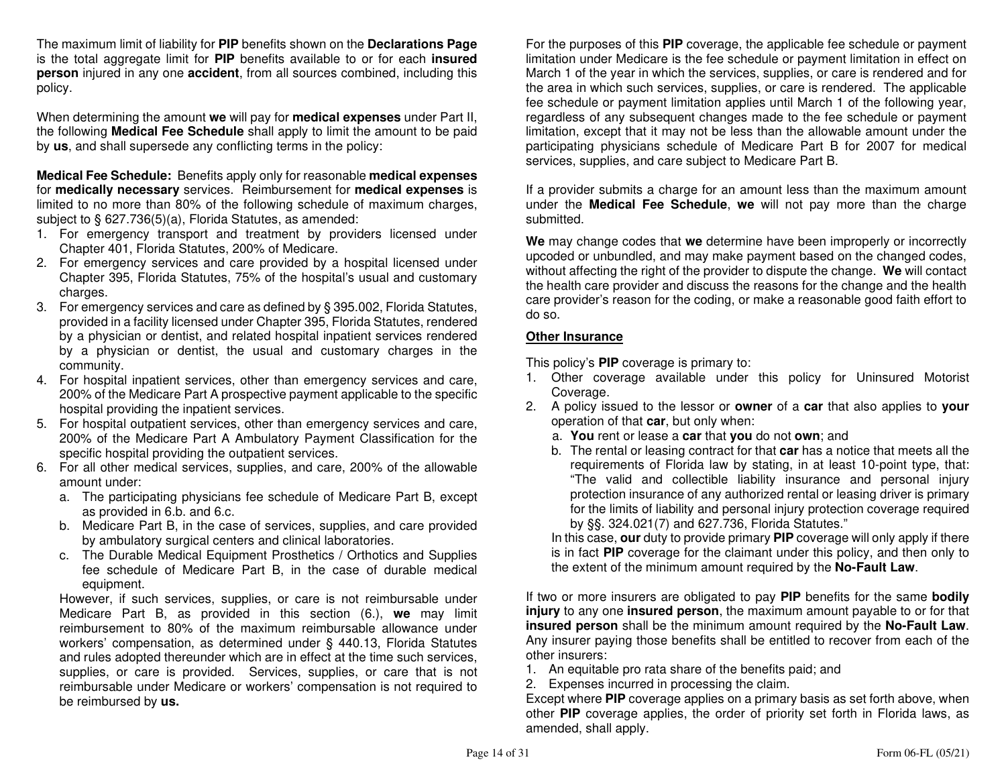The maximum limit of liability for **PIP** benefits shown on the **Declarations Page**  is the total aggregate limit for **PIP** benefits available to or for each **insured person** injured in any one **accident**, from all sources combined, including this policy.

When determining the amount **we** will pay for **medical expenses** under Part II, the following **Medical Fee Schedule** shall apply to limit the amount to be paid by **us**, and shall supersede any conflicting terms in the policy:

**Medical Fee Schedule:** Benefits apply only for reasonable **medical expenses** for **medically necessary** services. Reimbursement for **medical expenses** is limited to no more than 80% of the following schedule of maximum charges, subject to § 627.736(5)(a), Florida Statutes, as amended:

- 1. For emergency transport and treatment by providers licensed under Chapter 401, Florida Statutes, 200% of Medicare.
- 2. For emergency services and care provided by a hospital licensed under Chapter 395, Florida Statutes, 75% of the hospital's usual and customary charges.
- 3. For emergency services and care as defined by § 395.002, Florida Statutes, provided in a facility licensed under Chapter 395, Florida Statutes, rendered by a physician or dentist, and related hospital inpatient services rendered by a physician or dentist, the usual and customary charges in the community.
- 4. For hospital inpatient services, other than emergency services and care, 200% of the Medicare Part A prospective payment applicable to the specific hospital providing the inpatient services.
- 5. For hospital outpatient services, other than emergency services and care, 200% of the Medicare Part A Ambulatory Payment Classification for the specific hospital providing the outpatient services.
- 6. For all other medical services, supplies, and care, 200% of the allowable amount under:
	- a. The participating physicians fee schedule of Medicare Part B, except as provided in 6.b. and 6.c.
	- b. Medicare Part B, in the case of services, supplies, and care provided by ambulatory surgical centers and clinical laboratories.
	- c. The Durable Medical Equipment Prosthetics / Orthotics and Supplies fee schedule of Medicare Part B, in the case of durable medical equipment.

 However, if such services, supplies, or care is not reimbursable under Medicare Part B, as provided in this section (6.), **we** may limit reimbursement to 80% of the maximum reimbursable allowance under workers' compensation, as determined under § 440.13, Florida Statutes and rules adopted thereunder which are in effect at the time such services, supplies, or care is provided. Services, supplies, or care that is not reimbursable under Medicare or workers' compensation is not required to be reimbursed by **us.**

For the purposes of this **PIP** coverage, the applicable fee schedule or payment limitation under Medicare is the fee schedule or payment limitation in effect on March 1 of the year in which the services, supplies, or care is rendered and for the area in which such services, supplies, or care is rendered. The applicable fee schedule or payment limitation applies until March 1 of the following year, regardless of any subsequent changes made to the fee schedule or payment limitation, except that it may not be less than the allowable amount under the participating physicians schedule of Medicare Part B for 2007 for medical services, supplies, and care subject to Medicare Part B.

If a provider submits a charge for an amount less than the maximum amount under the **Medical Fee Schedule**, **we** will not pay more than the charge submitted.

**We** may change codes that **we** determine have been improperly or incorrectly upcoded or unbundled, and may make payment based on the changed codes, without affecting the right of the provider to dispute the change. **We** will contact the health care provider and discuss the reasons for the change and the health care provider's reason for the coding, or make a reasonable good faith effort to do so.

#### **Other Insurance**

This policy's **PIP** coverage is primary to:

- 1. Other coverage available under this policy for Uninsured Motorist Coverage.
- 2. A policy issued to the lessor or **owner** of a **car** that also applies to **your** operation of that **car**, but only when:
- a. **You** rent or lease a **car** that **you** do not **own**; and
- b. The rental or leasing contract for that **car** has a notice that meets all the requirements of Florida law by stating, in at least 10-point type, that: "The valid and collectible liability insurance and personal injury protection insurance of any authorized rental or leasing driver is primary for the limits of liability and personal injury protection coverage required by §§. 324.021(7) and 627.736, Florida Statutes."

 In this case, **our** duty to provide primary **PIP** coverage will only apply if there is in fact **PIP** coverage for the claimant under this policy, and then only to the extent of the minimum amount required by the **No-Fault Law**.

If two or more insurers are obligated to pay **PIP** benefits for the same **bodily injury** to any one **insured person**, the maximum amount payable to or for that **insured person** shall be the minimum amount required by the **No-Fault Law**. Any insurer paying those benefits shall be entitled to recover from each of the other insurers:

- 1. An equitable pro rata share of the benefits paid; and
- 2. Expenses incurred in processing the claim.

 Except where **PIP** coverage applies on a primary basis as set forth above, when other **PIP** coverage applies, the order of priority set forth in Florida laws, as amended, shall apply.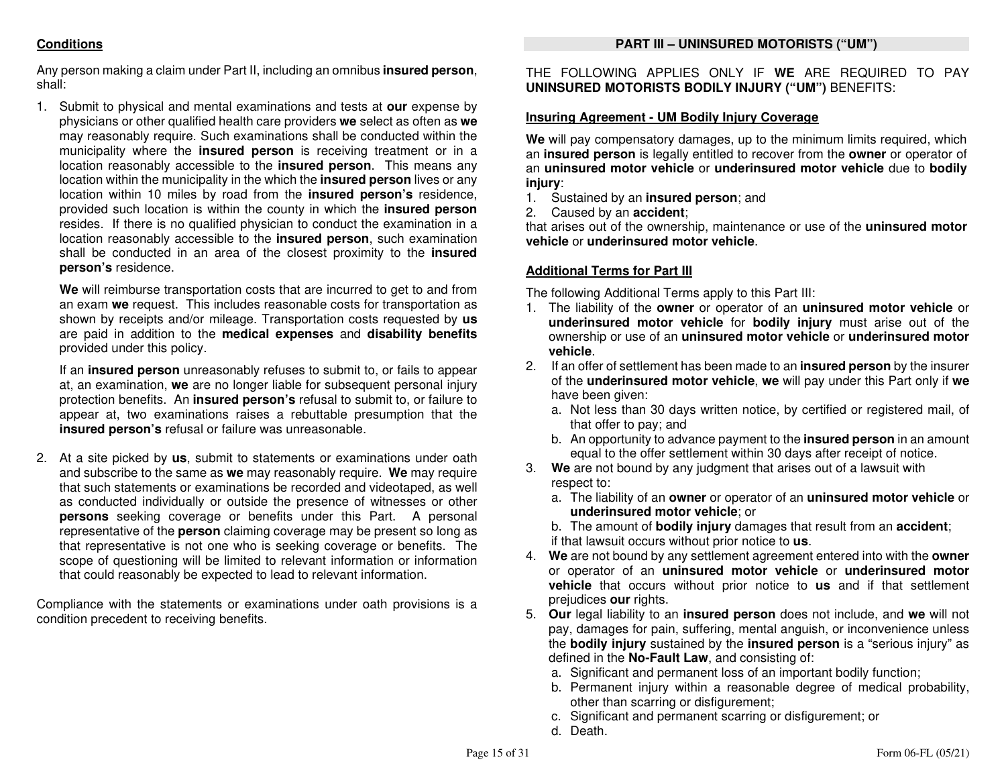### **PART III – UNINSURED MOTORISTS ("UM")**

### **Conditions**

Any person making a claim under Part II, including an omnibus **insured person**, shall:

1. Submit to physical and mental examinations and tests at **our** expense by physicians or other qualified health care providers **we** select as often as **we** may reasonably require. Such examinations shall be conducted within the municipality where the **insured person** is receiving treatment or in a location reasonably accessible to the **insured person**. This means any location within the municipality in the which the **insured person** lives or any location within 10 miles by road from the **insured person's** residence, provided such location is within the county in which the **insured person** resides. If there is no qualified physician to conduct the examination in a location reasonably accessible to the **insured person**, such examination shall be conducted in an area of the closest proximity to the **insured person's** residence.

**We** will reimburse transportation costs that are incurred to get to and from an exam **we** request. This includes reasonable costs for transportation as shown by receipts and/or mileage. Transportation costs requested by **us** are paid in addition to the **medical expenses** and **disability benefits**provided under this policy.

If an **insured person** unreasonably refuses to submit to, or fails to appear at, an examination, **we** are no longer liable for subsequent personal injury protection benefits. An **insured person's** refusal to submit to, or failure to appear at, two examinations raises a rebuttable presumption that the **insured person's** refusal or failure was unreasonable.

2. At a site picked by **us**, submit to statements or examinations under oath and subscribe to the same as **we** may reasonably require. **We** may require that such statements or examinations be recorded and videotaped, as well as conducted individually or outside the presence of witnesses or other **persons** seeking coverage or benefits under this Part. A personal representative of the **person** claiming coverage may be present so long as that representative is not one who is seeking coverage or benefits. The scope of questioning will be limited to relevant information or information that could reasonably be expected to lead to relevant information.

Compliance with the statements or examinations under oath provisions is a condition precedent to receiving benefits.

THE FOLLOWING APPLIES ONLY IF **WE** ARE REQUIRED TO PAY **UNINSURED MOTORISTS BODILY INJURY ("UM")** BENEFITS:

### **Insuring Agreement - UM Bodily Injury Coverage**

**We** will pay compensatory damages, up to the minimum limits required, which an **insured person** is legally entitled to recover from the **owner** or operator of an **uninsured motor vehicle** or **underinsured motor vehicle** due to **bodily injury**:

- 1. Sustained by an **insured person**; and
- 2. Caused by an **accident**;

 that arises out of the ownership, maintenance or use of the **uninsured motor vehicle** or **underinsured motor vehicle**.

### **Additional Terms for Part III**

The following Additional Terms apply to this Part III:

- 1. The liability of the **owner** or operator of an **uninsured motor vehicle** or **underinsured motor vehicle** for **bodily injury** must arise out of the ownership or use of an **uninsured motor vehicle** or **underinsured motor vehicle**.
- 2. If an offer of settlement has been made to an **insured person** by the insurer of the **underinsured motor vehicle**, **we** will pay under this Part only if **we**have been given:
	- a. Not less than 30 days written notice, by certified or registered mail, of that offer to pay; and
	- b. An opportunity to advance payment to the **insured person** in an amount equal to the offer settlement within 30 days after receipt of notice.
- 3. **We** are not bound by any judgment that arises out of a lawsuit with respect to:
- a. The liability of an **owner** or operator of an **uninsured motor vehicle** or **underinsured motor vehicle**; or
- b. The amount of **bodily injury** damages that result from an **accident**;if that lawsuit occurs without prior notice to **us**.
- 4. **We** are not bound by any settlement agreement entered into with the **owner** or operator of an **uninsured motor vehicle** or **underinsured motor vehicle** that occurs without prior notice to **us** and if that settlement prejudices **our** rights.
- 5. **Our** legal liability to an **insured person** does not include, and **we** will not pay, damages for pain, suffering, mental anguish, or inconvenience unless the **bodily injury** sustained by the **insured person** is a "serious injury" as defined in the **No-Fault Law**, and consisting of:
- a. Significant and permanent loss of an important bodily function;
- b. Permanent injury within a reasonable degree of medical probability, other than scarring or disfigurement;
- c. Significant and permanent scarring or disfigurement; or
	- d. Death.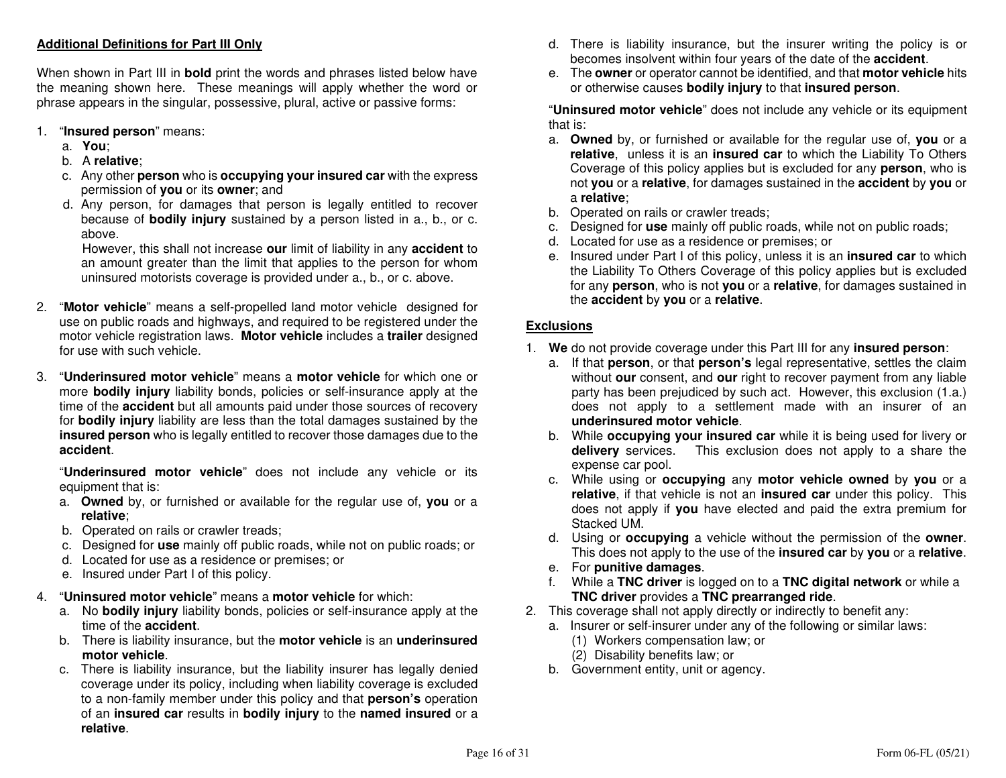### **Additional Definitions for Part III Only**

When shown in Part III in **bold** print the words and phrases listed below have the meaning shown here. These meanings will apply whether the word or phrase appears in the singular, possessive, plural, active or passive forms:

- 1. "**Insured person**" means:
	- a. **You**;
- b. A **relative**;
- c. Any other **person** who is **occupying your insured car** with the express permission of **you** or its **owner**; and
	- d. Any person, for damages that person is legally entitled to recover because of **bodily injury** sustained by a person listed in a., b., or c. above.

 However, this shall not increase **our** limit of liability in any **accident** to an amount greater than the limit that applies to the person for whom uninsured motorists coverage is provided under a., b., or c. above.

- 2. "**Motor vehicle**" means a self-propelled land motor vehicle designed for use on public roads and highways, and required to be registered under the motor vehicle registration laws. **Motor vehicle** includes a **trailer** designed for use with such vehicle.
- 3. "**Underinsured motor vehicle**" means a **motor vehicle** for which one or more **bodily injury** liability bonds, policies or self-insurance apply at the time of the **accident** but all amounts paid under those sources of recovery for **bodily injury** liability are less than the total damages sustained by the **insured person** who is legally entitled to recover those damages due to the **accident**.

"**Underinsured motor vehicle**" does not include any vehicle or its equipment that is:

- a. **Owned** by, or furnished or available for the regular use of, **you** or a **relative**;
- b. Operated on rails or crawler treads;
- c. Designed for **use** mainly off public roads, while not on public roads; or
	- d. Located for use as a residence or premises; or
	- e. Insured under Part I of this policy.
- 4. "**Uninsured motor vehicle**" means a **motor vehicle** for which:
- a. No **bodily injury** liability bonds, policies or self-insurance apply at the time of the **accident**.
- b. There is liability insurance, but the **motor vehicle** is an **underinsured motor vehicle**.
- c. There is liability insurance, but the liability insurer has legally denied coverage under its policy, including when liability coverage is excluded to a non-family member under this policy and that **person's** operation of an **insured car** results in **bodily injury** to the **named insured** or a **relative**.
- d. There is liability insurance, but the insurer writing the policy is or becomes insolvent within four years of the date of the **accident**.
- e. The **owner** or operator cannot be identified, and that **motor vehicle** hits or otherwise causes **bodily injury** to that **insured person**.

 "**Uninsured motor vehicle**" does not include any vehicle or its equipment that is:

- a. **Owned** by, or furnished or available for the regular use of, **you** or a **relative**, unless it is an **insured car** to which the Liability To Others Coverage of this policy applies but is excluded for any **person**, who is not **you** or a **relative**, for damages sustained in the **accident** by **you** or a **relative**;
- b. Operated on rails or crawler treads;
- c. Designed for **use** mainly off public roads, while not on public roads;
	- d. Located for use as a residence or premises; or
- e. Insured under Part I of this policy, unless it is an **insured car** to which the Liability To Others Coverage of this policy applies but is excluded for any **person**, who is not **you** or a **relative**, for damages sustained in the **accident** by **you** or a **relative**.

### **Exclusions**

- 1. **We** do not provide coverage under this Part III for any **insured person**:
	- a. If that **person**, or that **person's** legal representative, settles the claim without **our** consent, and **our** right to recover payment from any liable party has been prejudiced by such act. However, this exclusion (1.a.) does not apply to a settlement made with an insurer of an **underinsured motor vehicle**.
- b. While **occupying your insured car** while it is being used for livery or **delivery** services. This exclusion does not apply to a share the expense car pool.
- c. While using or **occupying** any **motor vehicle owned** by **you** or a **relative**, if that vehicle is not an **insured car** under this policy. This does not apply if **you** have elected and paid the extra premium for Stacked UM.
- d. Using or **occupying** a vehicle without the permission of the **owner**. This does not apply to the use of the **insured car** by **you** or a **relative**.
- e. For **punitive damages**.
	- f. While a **TNC driver** is logged on to a **TNC digital network** or while a **TNC driver** provides a **TNC prearranged ride**.
- 2. This coverage shall not apply directly or indirectly to benefit any:
	- a. Insurer or self-insurer under any of the following or similar laws:
		- (1) Workers compensation law; or
		- (2) Disability benefits law; or
- b. Government entity, unit or agency.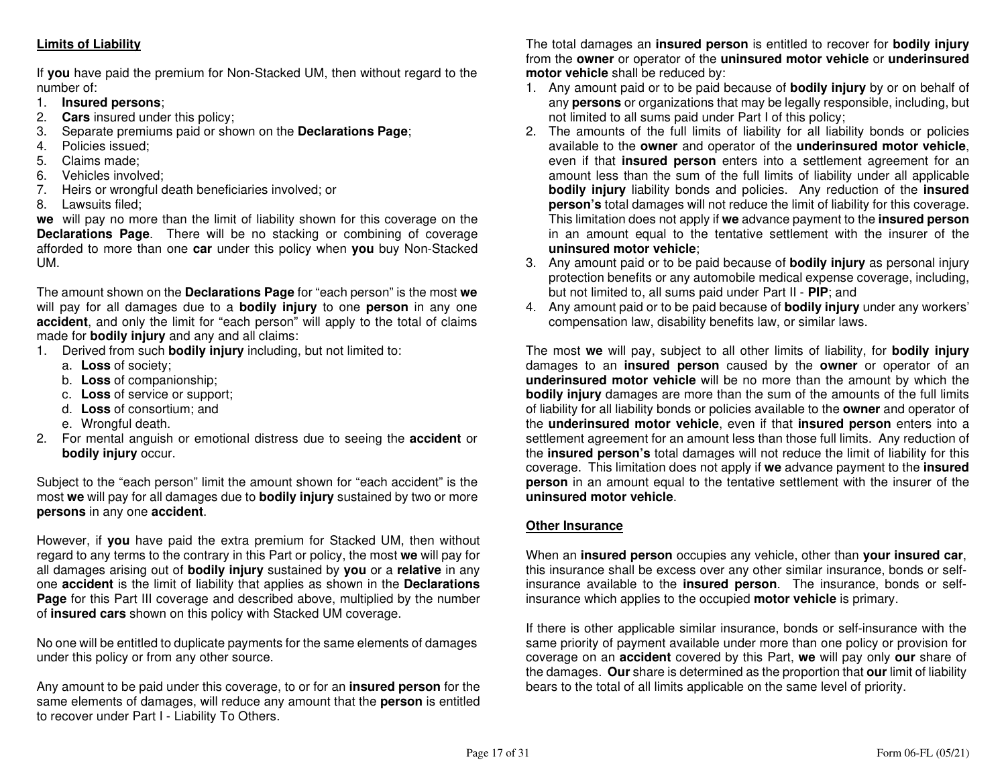### **Limits of Liability**

If **you** have paid the premium for Non-Stacked UM, then without regard to the number of:

- 1. **Insured persons**;
- 2. **Cars** insured under this policy;
- 3. Separate premiums paid or shown on the **Declarations Page**;
- 4. Policies issued;
- 5. Claims made;
- 6. Vehicles involved;
- 7. Heirs or wrongful death beneficiaries involved; or
- 8. Lawsuits filed;

 **we** will pay no more than the limit of liability shown for this coverage on the **Declarations Page**. There will be no stacking or combining of coverage afforded to more than one **car** under this policy when **you** buy Non-Stacked UM.

The amount shown on the **Declarations Page** for "each person" is the most **we** will pay for all damages due to a **bodily injury** to one **person** in any one **accident**, and only the limit for "each person" will apply to the total of claims made for **bodily injury** and any and all claims:

- 1. Derived from such **bodily injury** including, but not limited to:
	- a. **Loss** of society;
	- b. **Loss** of companionship;
- c. **Loss** of service or support;
	- d. **Loss** of consortium; and
	- e. Wrongful death.
- 2. For mental anguish or emotional distress due to seeing the **accident** or **bodily injury** occur.

Subject to the "each person" limit the amount shown for "each accident" is the most **we** will pay for all damages due to **bodily injury** sustained by two or more **persons** in any one **accident**.

However, if **you** have paid the extra premium for Stacked UM, then without regard to any terms to the contrary in this Part or policy, the most **we** will pay for all damages arising out of **bodily injury** sustained by **you** or a **relative** in any one **accident** is the limit of liability that applies as shown in the **Declarations Page** for this Part III coverage and described above, multiplied by the number of **insured cars** shown on this policy with Stacked UM coverage.

No one will be entitled to duplicate payments for the same elements of damages under this policy or from any other source.

Any amount to be paid under this coverage, to or for an **insured person** for the same elements of damages, will reduce any amount that the **person** is entitled to recover under Part I - Liability To Others.

The total damages an **insured person** is entitled to recover for **bodily injury** from the **owner** or operator of the **uninsured motor vehicle** or **underinsured motor vehicle** shall be reduced by:

- 1. Any amount paid or to be paid because of **bodily injury** by or on behalf of any **persons** or organizations that may be legally responsible, including, but not limited to all sums paid under Part I of this policy;
- 2. The amounts of the full limits of liability for all liability bonds or policies available to the **owner** and operator of the **underinsured motor vehicle**, even if that **insured person** enters into a settlement agreement for an amount less than the sum of the full limits of liability under all applicable **bodily injury** liability bonds and policies. Any reduction of the **insured person's** total damages will not reduce the limit of liability for this coverage. This limitation does not apply if **we** advance payment to the **insured person** in an amount equal to the tentative settlement with the insurer of the **uninsured motor vehicle**;
- 3. Any amount paid or to be paid because of **bodily injury** as personal injury protection benefits or any automobile medical expense coverage, including, but not limited to, all sums paid under Part II - **PIP**; and
- 4. Any amount paid or to be paid because of **bodily injury** under any workers' compensation law, disability benefits law, or similar laws.

The most **we** will pay, subject to all other limits of liability, for **bodily injury** damages to an **insured person** caused by the **owner** or operator of an **underinsured motor vehicle** will be no more than the amount by which the **bodily injury** damages are more than the sum of the amounts of the full limits of liability for all liability bonds or policies available to the **owner** and operator of the **underinsured motor vehicle**, even if that **insured person** enters into a settlement agreement for an amount less than those full limits. Any reduction of the **insured person's** total damages will not reduce the limit of liability for this coverage. This limitation does not apply if **we** advance payment to the **insured person** in an amount equal to the tentative settlement with the insurer of the **uninsured motor vehicle**.

### **Other Insurance**

When an **insured person** occupies any vehicle, other than **your insured car**, this insurance shall be excess over any other similar insurance, bonds or selfinsurance available to the **insured person**. The insurance, bonds or selfinsurance which applies to the occupied **motor vehicle** is primary.

If there is other applicable similar insurance, bonds or self-insurance with the same priority of payment available under more than one policy or provision for coverage on an **accident** covered by this Part, **we** will pay only **our** share of the damages. **Our** share is determined as the proportion that **our** limit of liability bears to the total of all limits applicable on the same level of priority.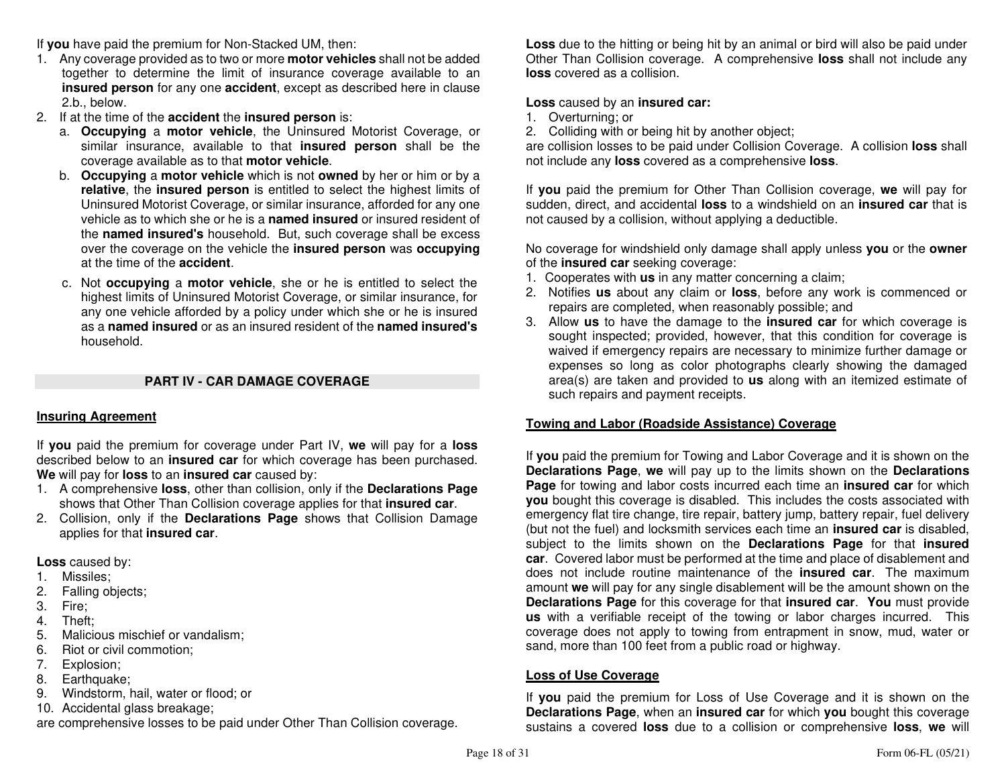If **you** have paid the premium for Non-Stacked UM, then:

- 1. Any coverage provided as to two or more **motor vehicles** shall not be added together to determine the limit of insurance coverage available to an **insured person** for any one **accident**, except as described here in clause 2.b., below.
- 2. If at the time of the **accident** the **insured person** is:
	- a. **Occupying** a **motor vehicle**, the Uninsured Motorist Coverage, or similar insurance, available to that **insured person** shall be the coverage available as to that **motor vehicle**.
- b. **Occupying** a **motor vehicle** which is not **owned** by her or him or by a **relative**, the **insured person** is entitled to select the highest limits of Uninsured Motorist Coverage, or similar insurance, afforded for any one vehicle as to which she or he is a **named insured** or insured resident of the **named insured's** household. But, such coverage shall be excess over the coverage on the vehicle the **insured person** was **occupying**  at the time of the **accident**.
	- c. Not **occupying** a **motor vehicle**, she or he is entitled to select the highest limits of Uninsured Motorist Coverage, or similar insurance, for any one vehicle afforded by a policy under which she or he is insured as a **named insured** or as an insured resident of the **named insured's**household.

### **PART IV - CAR DAMAGE COVERAGE**

### **Insuring Agreement**

If **you** paid the premium for coverage under Part IV, **we** will pay for a **loss** described below to an **insured car** for which coverage has been purchased. **We** will pay for **loss** to an **insured car** caused by:

- 1. A comprehensive **loss**, other than collision, only if the **Declarations Page**shows that Other Than Collision coverage applies for that **insured car**.
- 2. Collision, only if the **Declarations Page** shows that Collision Damage applies for that **insured car**.

**Loss** caused by:

- 1. Missiles;
- 2. Falling objects;
- 3. Fire;
- 4. Theft;
- 5. Malicious mischief or vandalism;
- 6. Riot or civil commotion;
- 7. Explosion;
- 8. Earthquake;
- 9. Windstorm, hail, water or flood; or
- 10. Accidental glass breakage;

are comprehensive losses to be paid under Other Than Collision coverage.

**Loss** due to the hitting or being hit by an animal or bird will also be paid under Other Than Collision coverage. A comprehensive **loss** shall not include any **loss** covered as a collision.

### **Loss** caused by an **insured car:**

- 1. Overturning; or
- 2. Colliding with or being hit by another object;

 are collision losses to be paid under Collision Coverage. A collision **loss** shall not include any **loss** covered as a comprehensive **loss**.

If **you** paid the premium for Other Than Collision coverage, **we** will pay for sudden, direct, and accidental **loss** to a windshield on an **insured car** that is not caused by a collision, without applying a deductible.

No coverage for windshield only damage shall apply unless **you** or the **owner**of the **insured car** seeking coverage:

- 1. Cooperates with **us** in any matter concerning a claim;
- 2. Notifies **us** about any claim or **loss**, before any work is commenced or repairs are completed, when reasonably possible; and
- 3. Allow **us** to have the damage to the **insured car** for which coverage is sought inspected; provided, however, that this condition for coverage is waived if emergency repairs are necessary to minimize further damage or expenses so long as color photographs clearly showing the damaged area(s) are taken and provided to **us** along with an itemized estimate of such repairs and payment receipts.

### **Towing and Labor (Roadside Assistance) Coverage**

If **you** paid the premium for Towing and Labor Coverage and it is shown on the **Declarations Page**, **we** will pay up to the limits shown on the **Declarations Page** for towing and labor costs incurred each time an **insured car** for which **you** bought this coverage is disabled. This includes the costs associated with emergency flat tire change, tire repair, battery jump, battery repair, fuel delivery (but not the fuel) and locksmith services each time an **insured car** is disabled, subject to the limits shown on the **Declarations Page** for that **insured car**. Covered labor must be performed at the time and place of disablement and does not include routine maintenance of the **insured car**. The maximum amount **we** will pay for any single disablement will be the amount shown on the **Declarations Page** for this coverage for that **insured car**. **You** must provide **us** with a verifiable receipt of the towing or labor charges incurred. This coverage does not apply to towing from entrapment in snow, mud, water or sand, more than 100 feet from a public road or highway.

### **Loss of Use Coverage**

If **you** paid the premium for Loss of Use Coverage and it is shown on the **Declarations Page**, when an **insured car** for which **you** bought this coverage sustains a covered **loss** due to a collision or comprehensive **loss**, **we** will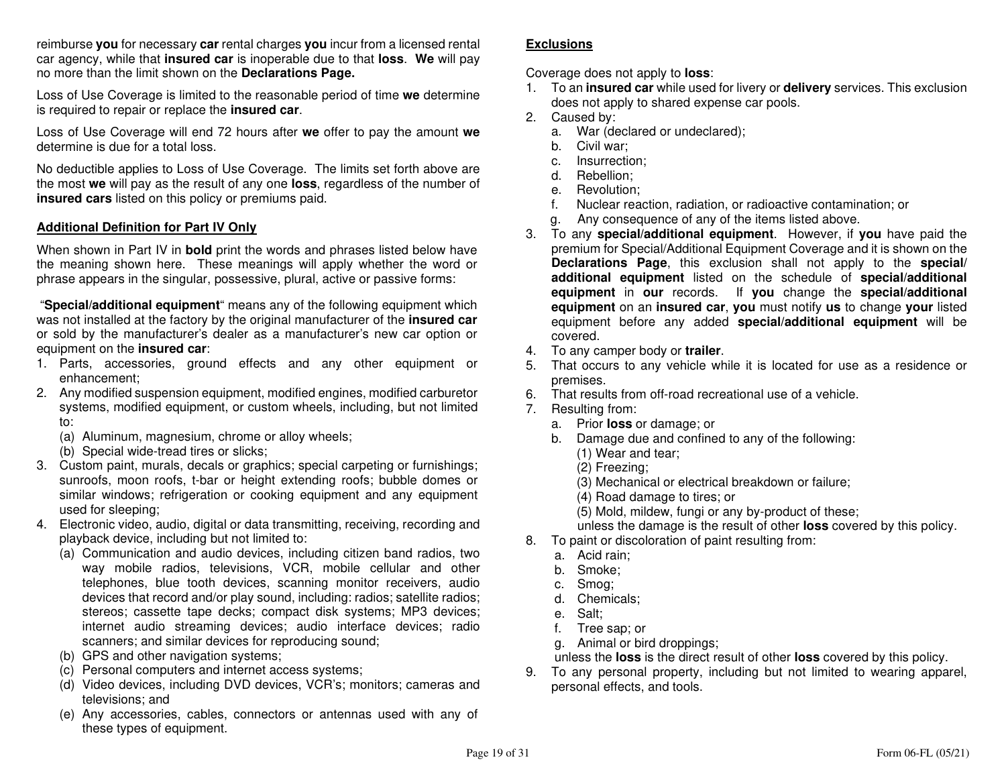reimburse **you** for necessary **car** rental charges **you** incur from a licensed rental car agency, while that **insured car** is inoperable due to that **loss**. **We** will pay no more than the limit shown on the **Declarations Page.**

Loss of Use Coverage is limited to the reasonable period of time **we** determine is required to repair or replace the **insured car**.

Loss of Use Coverage will end 72 hours after **we** offer to pay the amount **we**determine is due for a total loss.

No deductible applies to Loss of Use Coverage. The limits set forth above are the most **we** will pay as the result of any one **loss**, regardless of the number of **insured cars** listed on this policy or premiums paid.

#### **Additional Definition for Part IV Only**

When shown in Part IV in **bold** print the words and phrases listed below have the meaning shown here. These meanings will apply whether the word or phrase appears in the singular, possessive, plural, active or passive forms:

 "**Special/additional equipment**" means any of the following equipment which was not installed at the factory by the original manufacturer of the **insured car**  or sold by the manufacturer's dealer as a manufacturer's new car option or equipment on the **insured car**:

- 1. Parts, accessories, ground effects and any other equipment or enhancement;
- 2. Any modified suspension equipment, modified engines, modified carburetor systems, modified equipment, or custom wheels, including, but not limited to:
- (a) Aluminum, magnesium, chrome or alloy wheels;
	- (b) Special wide-tread tires or slicks;
- 3. Custom paint, murals, decals or graphics; special carpeting or furnishings; sunroofs, moon roofs, t-bar or height extending roofs; bubble domes or similar windows; refrigeration or cooking equipment and any equipment used for sleeping;
- 4. Electronic video, audio, digital or data transmitting, receiving, recording and playback device, including but not limited to:
	- (a) Communication and audio devices, including citizen band radios, two way mobile radios, televisions, VCR, mobile cellular and other telephones, blue tooth devices, scanning monitor receivers, audio devices that record and/or play sound, including: radios; satellite radios; stereos; cassette tape decks; compact disk systems; MP3 devices; internet audio streaming devices; audio interface devices; radio scanners; and similar devices for reproducing sound;
	- (b) GPS and other navigation systems;
	- (c) Personal computers and internet access systems;
	- (d) Video devices, including DVD devices, VCR's; monitors; cameras and televisions; and
	- (e) Any accessories, cables, connectors or antennas used with any of these types of equipment.

#### **Exclusions**

Coverage does not apply to **loss**:

- 1. To an **insured car** while used for livery or **delivery** services. This exclusion does not apply to shared expense car pools.
- 2. Caused by:
- a. War (declared or undeclared);
	- b. Civil war;
- c. Insurrection;
	- d. Rebellion;
- e. Revolution;
- f. Nuclear reaction, radiation, or radioactive contamination; or
	- g. Any consequence of any of the items listed above.
- 3. To any **special/additional equipment**. However, if **you** have paid the premium for Special/Additional Equipment Coverage and it is shown on the **Declarations Page**, this exclusion shall not apply to the **special/ additional equipment** listed on the schedule of **special/additional equipment** in **our** records. If **you** change the **special/additional equipment** on an **insured car**, **you** must notify **us** to change **your** listed equipment before any added **special/additional equipment** will be covered.
- 4. To any camper body or **trailer**.
- 5. That occurs to any vehicle while it is located for use as a residence or premises.
- 6. That results from off-road recreational use of a vehicle.
- 7. Resulting from:
- a. Prior **loss** or damage; or
- b. Damage due and confined to any of the following:
	- (1) Wear and tear;
	- (2) Freezing;
	- (3) Mechanical or electrical breakdown or failure;
		- (4) Road damage to tires; or
	- (5) Mold, mildew, fungi or any by-product of these;
	- unless the damage is the result of other **loss** covered by this policy.
- 8. To paint or discoloration of paint resulting from:
	- a. Acid rain;
	- b. Smoke;
	- c. Smog;
	- d. Chemicals;
	- e. Salt;
	- f. Tree sap; or
	- g. Animal or bird droppings;
	- unless the **loss** is the direct result of other **loss** covered by this policy.
- 9. To any personal property, including but not limited to wearing apparel, personal effects, and tools.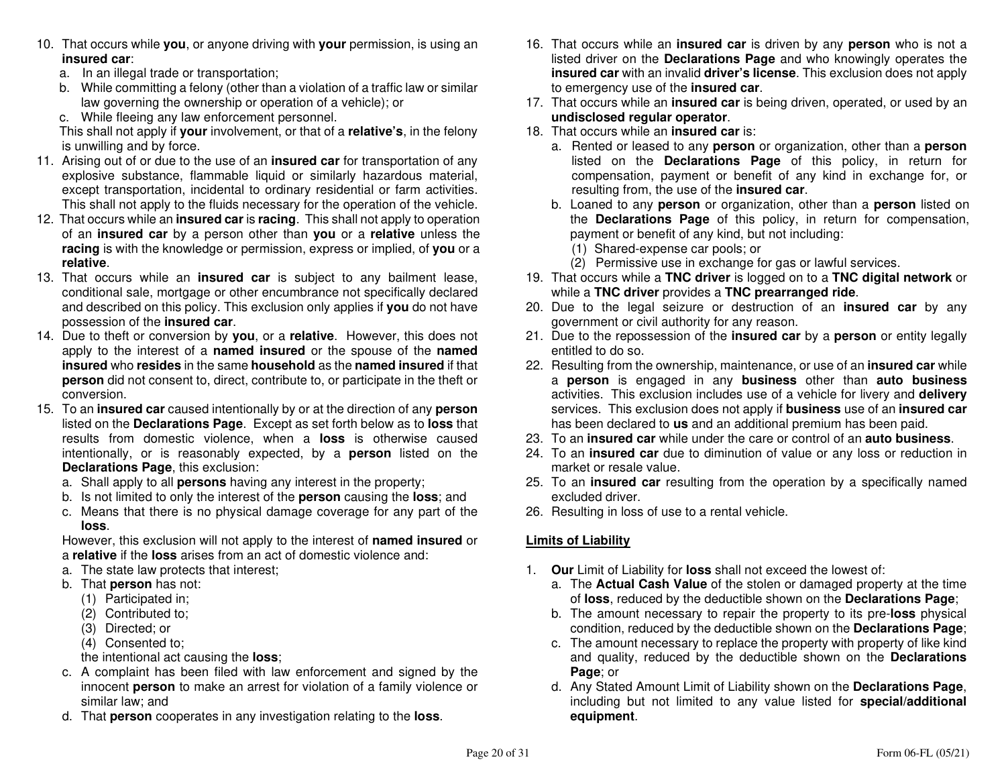- 10. That occurs while **you**, or anyone driving with **your** permission, is using an**insured car**:
	- a. In an illegal trade or transportation;
	- b. While committing a felony (other than a violation of a traffic law or similar law governing the ownership or operation of a vehicle); or
	- c. While fleeing any law enforcement personnel.

 This shall not apply if **your** involvement, or that of a **relative's**, in the felony is unwilling and by force.

- 11. Arising out of or due to the use of an **insured car** for transportation of any explosive substance, flammable liquid or similarly hazardous material, except transportation, incidental to ordinary residential or farm activities. This shall not apply to the fluids necessary for the operation of the vehicle.
- 12. That occurs while an **insured car** is **racing**. This shall not apply to operation of an **insured car** by a person other than **you** or a **relative** unless the **racing** is with the knowledge or permission, express or implied, of **you** or a **relative**.
- 13. That occurs while an **insured car** is subject to any bailment lease, conditional sale, mortgage or other encumbrance not specifically declared and described on this policy. This exclusion only applies if **you** do not have possession of the **insured car**.
- 14. Due to theft or conversion by **you**, or a **relative**. However, this does not apply to the interest of a **named insured** or the spouse of the **named insured** who **resides** in the same **household** as the **named insured** if that **person** did not consent to, direct, contribute to, or participate in the theft or conversion.
- 15. To an **insured car** caused intentionally by or at the direction of any **person** listed on the **Declarations Page**. Except as set forth below as to **loss** that results from domestic violence, when a **loss** is otherwise caused intentionally, or is reasonably expected, by a **person** listed on the **Declarations Page**, this exclusion:
- a. Shall apply to all **persons** having any interest in the property;
- b. Is not limited to only the interest of the **person** causing the **loss**; and
- c. Means that there is no physical damage coverage for any part of the **loss**.

 However, this exclusion will not apply to the interest of **named insured** or a **relative** if the **loss** arises from an act of domestic violence and:

- a. The state law protects that interest;
- b. That **person** has not:
	- (1) Participated in;
- (2) Contributed to;
	- (3) Directed; or
- (4) Consented to;
- the intentional act causing the **loss**;
- c. A complaint has been filed with law enforcement and signed by the innocent **person** to make an arrest for violation of a family violence or similar law; and
- d. That **person** cooperates in any investigation relating to the **loss**.
- 16. That occurs while an **insured car** is driven by any **person** who is not a listed driver on the **Declarations Page** and who knowingly operates the **insured car** with an invalid **driver's license**. This exclusion does not apply to emergency use of the **insured car**.
- 17. That occurs while an **insured car** is being driven, operated, or used by an **undisclosed regular operator**.
- 18. That occurs while an **insured car** is:
- a. Rented or leased to any **person** or organization, other than a **person** listed on the **Declarations Page** of this policy, in return for compensation, payment or benefit of any kind in exchange for, or resulting from, the use of the **insured car**.
- b. Loaned to any **person** or organization, other than a **person** listed on the **Declarations Page** of this policy, in return for compensation, payment or benefit of any kind, but not including:
	- (1) Shared-expense car pools; or
- (2) Permissive use in exchange for gas or lawful services.
- 19. That occurs while a **TNC driver** is logged on to a **TNC digital network** or while a **TNC driver** provides a **TNC prearranged ride**.
- 20. Due to the legal seizure or destruction of an **insured car** by any government or civil authority for any reason.
- 21. Due to the repossession of the **insured car** by a **person** or entity legally entitled to do so.
- 22. Resulting from the ownership, maintenance, or use of an **insured car** while a **person** is engaged in any **business** other than **auto business** activities. This exclusion includes use of a vehicle for livery and **delivery** services. This exclusion does not apply if **business** use of an **insured car** has been declared to **us** and an additional premium has been paid.
- 23. To an **insured car** while under the care or control of an **auto business**.
- 24. To an **insured car** due to diminution of value or any loss or reduction in market or resale value.
- 25. To an **insured car** resulting from the operation by a specifically named excluded driver.
- 26. Resulting in loss of use to a rental vehicle.

### **Limits of Liability**

- 1. **Our** Limit of Liability for **loss** shall not exceed the lowest of:
- a. The **Actual Cash Value** of the stolen or damaged property at the time of **loss**, reduced by the deductible shown on the **Declarations Page**;
- b. The amount necessary to repair the property to its pre-**loss** physical condition, reduced by the deductible shown on the **Declarations Page**;
- c. The amount necessary to replace the property with property of like kind and quality, reduced by the deductible shown on the **Declarations Page**; or
- d. Any Stated Amount Limit of Liability shown on the **Declarations Page**, including but not limited to any value listed for **special/additional equipment**.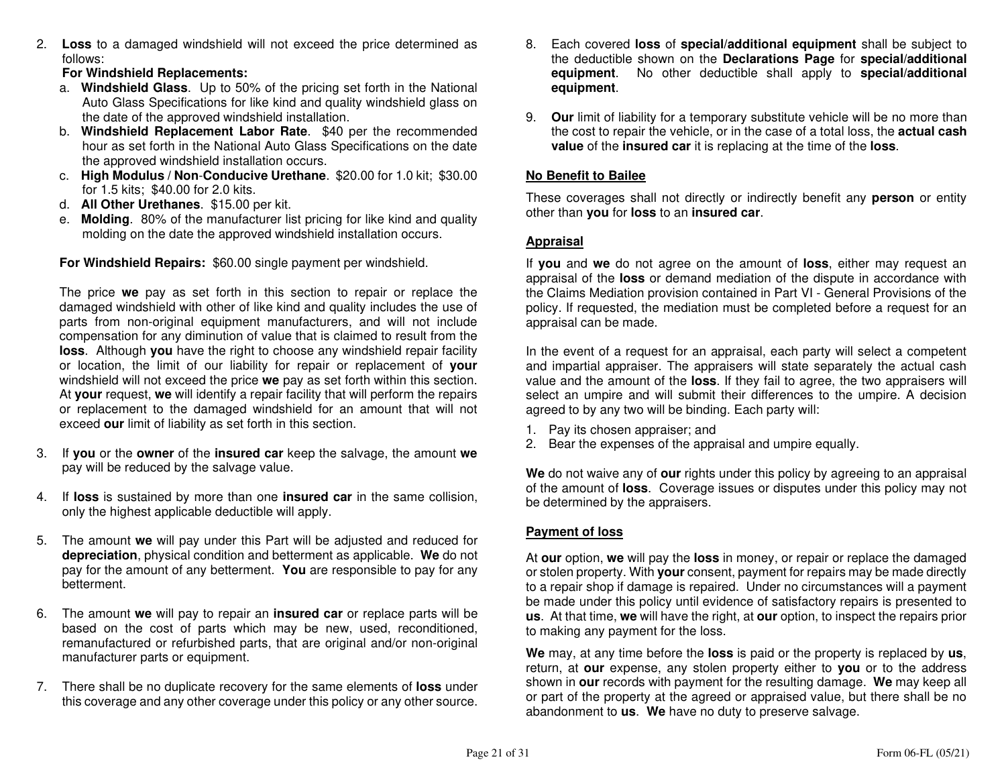2. **Loss** to a damaged windshield will not exceed the price determined as follows:

### **For Windshield Replacements:**

- a. **Windshield Glass**. Up to 50% of the pricing set forth in the National Auto Glass Specifications for like kind and quality windshield glass on the date of the approved windshield installation.
- b. **Windshield Replacement Labor Rate**. \$40 per the recommended hour as set forth in the National Auto Glass Specifications on the date the approved windshield installation occurs.
- c. **High Modulus / Non**-**Conducive Urethane**. \$20.00 for 1.0 kit; \$30.00 for 1.5 kits; \$40.00 for 2.0 kits.
- d. **All Other Urethanes**. \$15.00 per kit.
- e. **Molding**. 80% of the manufacturer list pricing for like kind and quality molding on the date the approved windshield installation occurs.

**For Windshield Repairs:** \$60.00 single payment per windshield.

The price **we** pay as set forth in this section to repair or replace the damaged windshield with other of like kind and quality includes the use of parts from non-original equipment manufacturers, and will not include compensation for any diminution of value that is claimed to result from the **loss**. Although **you** have the right to choose any windshield repair facility or location, the limit of our liability for repair or replacement of **your** windshield will not exceed the price **we** pay as set forth within this section. At **your** request, **we** will identify a repair facility that will perform the repairs or replacement to the damaged windshield for an amount that will not exceed **our** limit of liability as set forth in this section.

- 3. If **you** or the **owner** of the **insured car** keep the salvage, the amount **we**pay will be reduced by the salvage value.
- 4. If **loss** is sustained by more than one **insured car** in the same collision, only the highest applicable deductible will apply.
- 5. The amount **we** will pay under this Part will be adjusted and reduced for **depreciation**, physical condition and betterment as applicable. **We** do not pay for the amount of any betterment. **You** are responsible to pay for any betterment.
- 6. The amount **we** will pay to repair an **insured car** or replace parts will be based on the cost of parts which may be new, used, reconditioned, remanufactured or refurbished parts, that are original and/or non-original manufacturer parts or equipment.
- 7. There shall be no duplicate recovery for the same elements of **loss** under this coverage and any other coverage under this policy or any other source.
- 8. Each covered **loss** of **special/additional equipment** shall be subject to the deductible shown on the **Declarations Page** for **special/additional equipment**. No other deductible shall apply to **special/additional equipment**.
- 9. **Our** limit of liability for a temporary substitute vehicle will be no more than the cost to repair the vehicle, or in the case of a total loss, the **actual cash value** of the **insured car** it is replacing at the time of the **loss**.

### **No Benefit to Bailee**

These coverages shall not directly or indirectly benefit any **person** or entity other than **you** for **loss** to an **insured car**.

### **Appraisal**

If **you** and **we** do not agree on the amount of **loss**, either may request an appraisal of the **loss** or demand mediation of the dispute in accordance with the Claims Mediation provision contained in Part VI - General Provisions of the policy. If requested, the mediation must be completed before a request for an appraisal can be made.

In the event of a request for an appraisal, each party will select a competent and impartial appraiser. The appraisers will state separately the actual cash value and the amount of the **loss**. If they fail to agree, the two appraisers will select an umpire and will submit their differences to the umpire. A decision agreed to by any two will be binding. Each party will:

- 1. Pay its chosen appraiser; and
- 2. Bear the expenses of the appraisal and umpire equally.

**We** do not waive any of **our** rights under this policy by agreeing to an appraisal of the amount of **loss**. Coverage issues or disputes under this policy may not be determined by the appraisers.

### **Payment of loss**

At **our** option, **we** will pay the **loss** in money, or repair or replace the damaged or stolen property. With **your** consent, payment for repairs may be made directly to a repair shop if damage is repaired. Under no circumstances will a payment be made under this policy until evidence of satisfactory repairs is presented to **us**. At that time, **we** will have the right, at **our** option, to inspect the repairs prior to making any payment for the loss.

**We** may, at any time before the **loss** is paid or the property is replaced by **us**, return, at **our** expense, any stolen property either to **you** or to the address shown in **our** records with payment for the resulting damage. **We** may keep all or part of the property at the agreed or appraised value, but there shall be no abandonment to **us**. **We** have no duty to preserve salvage.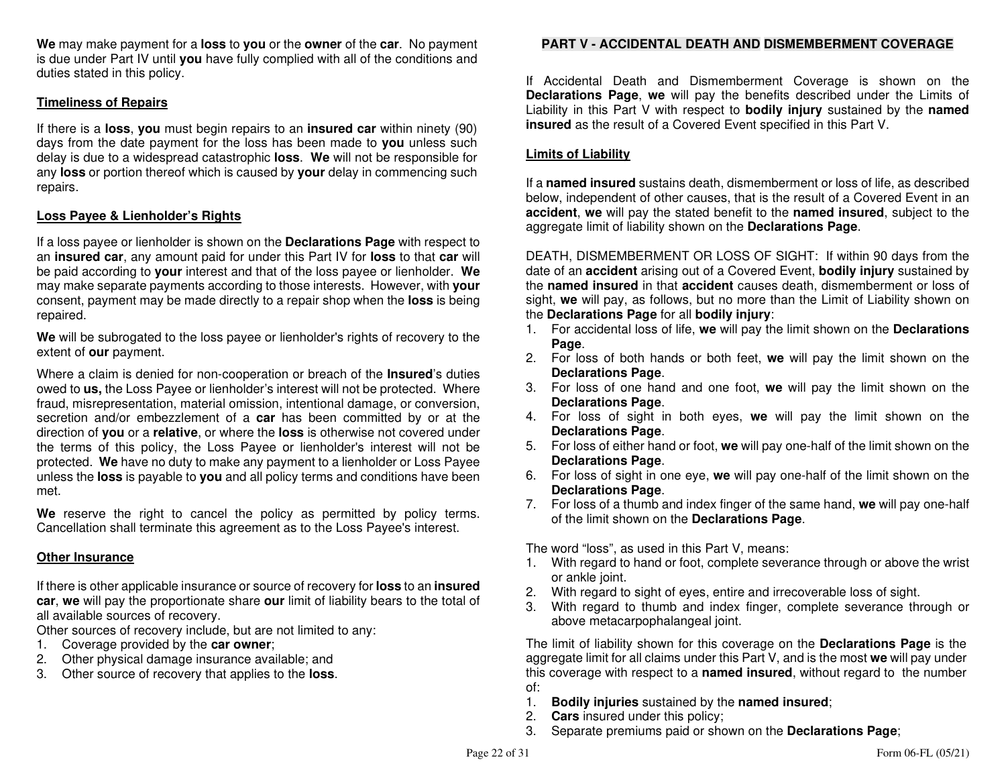**We** may make payment for a **loss** to **you** or the **owner** of the **car**. No payment is due under Part IV until **you** have fully complied with all of the conditions and duties stated in this policy.

### **Timeliness of Repairs**

If there is a **loss**, **you** must begin repairs to an **insured car** within ninety (90) days from the date payment for the loss has been made to **you** unless such delay is due to a widespread catastrophic **loss**. **We** will not be responsible for any **loss** or portion thereof which is caused by **your** delay in commencing such repairs.

#### **Loss Payee & Lienholder's Rights**

If a loss payee or lienholder is shown on the **Declarations Page** with respect to an **insured car**, any amount paid for under this Part IV for **loss** to that **car** will be paid according to **your** interest and that of the loss payee or lienholder. **We** may make separate payments according to those interests. However, with **your** consent, payment may be made directly to a repair shop when the **loss** is being repaired.

**We** will be subrogated to the loss payee or lienholder's rights of recovery to the extent of **our** payment.

Where a claim is denied for non-cooperation or breach of the **Insured**'s duties owed to **us,** the Loss Payee or lienholder's interest will not be protected. Where fraud, misrepresentation, material omission, intentional damage, or conversion, secretion and/or embezzlement of a **car** has been committed by or at the direction of **you** or a **relative**, or where the **loss** is otherwise not covered under the terms of this policy, the Loss Payee or lienholder's interest will not be protected. **We** have no duty to make any payment to a lienholder or Loss Payee unless the **loss** is payable to **you** and all policy terms and conditions have been met.

**We** reserve the right to cancel the policy as permitted by policy terms. Cancellation shall terminate this agreement as to the Loss Payee's interest.

#### **Other Insurance**

If there is other applicable insurance or source of recovery for **loss** to an **insured car**, **we** will pay the proportionate share **our** limit of liability bears to the total of all available sources of recovery.

Other sources of recovery include, but are not limited to any:

- 1. Coverage provided by the **car owner**;
- 2. Other physical damage insurance available; and
- 3. Other source of recovery that applies to the **loss**.

### **PART V - ACCIDENTAL DEATH AND DISMEMBERMENT COVERAGE**

If Accidental Death and Dismemberment Coverage is shown on the **Declarations Page**, **we** will pay the benefits described under the Limits of Liability in this Part V with respect to **bodily injury** sustained by the **named insured** as the result of a Covered Event specified in this Part V.

### **Limits of Liability**

If a **named insured** sustains death, dismemberment or loss of life, as described below, independent of other causes, that is the result of a Covered Event in an **accident**, **we** will pay the stated benefit to the **named insured**, subject to the aggregate limit of liability shown on the **Declarations Page**.

DEATH, DISMEMBERMENT OR LOSS OF SIGHT: If within 90 days from the date of an **accident** arising out of a Covered Event, **bodily injury** sustained by the **named insured** in that **accident** causes death, dismemberment or loss of sight, **we** will pay, as follows, but no more than the Limit of Liability shown on the **Declarations Page** for all **bodily injury**:

- 1. For accidental loss of life, **we** will pay the limit shown on the **Declarations Page**.
- 2. For loss of both hands or both feet, **we** will pay the limit shown on the **Declarations Page**.
- 3. For loss of one hand and one foot, **we** will pay the limit shown on the **Declarations Page**.
- 4. For loss of sight in both eyes, **we** will pay the limit shown on the **Declarations Page**.
- 5. For loss of either hand or foot, **we** will pay one-half of the limit shown on the **Declarations Page**.
- 6. For loss of sight in one eye, **we** will pay one-half of the limit shown on the **Declarations Page**.
- 7. For loss of a thumb and index finger of the same hand, **we** will pay one-half of the limit shown on the **Declarations Page**.

The word "loss", as used in this Part V, means:

- 1. With regard to hand or foot, complete severance through or above the wrist or ankle joint.
- 2. With regard to sight of eyes, entire and irrecoverable loss of sight.
- 3. With regard to thumb and index finger, complete severance through or above metacarpophalangeal joint.

The limit of liability shown for this coverage on the **Declarations Page** is the aggregate limit for all claims under this Part V, and is the most **we** will pay under this coverage with respect to a **named insured**, without regard to the number of:

- 1. **Bodily injuries** sustained by the **named insured**;
- 2. **Cars** insured under this policy;
- 3. Separate premiums paid or shown on the **Declarations Page**;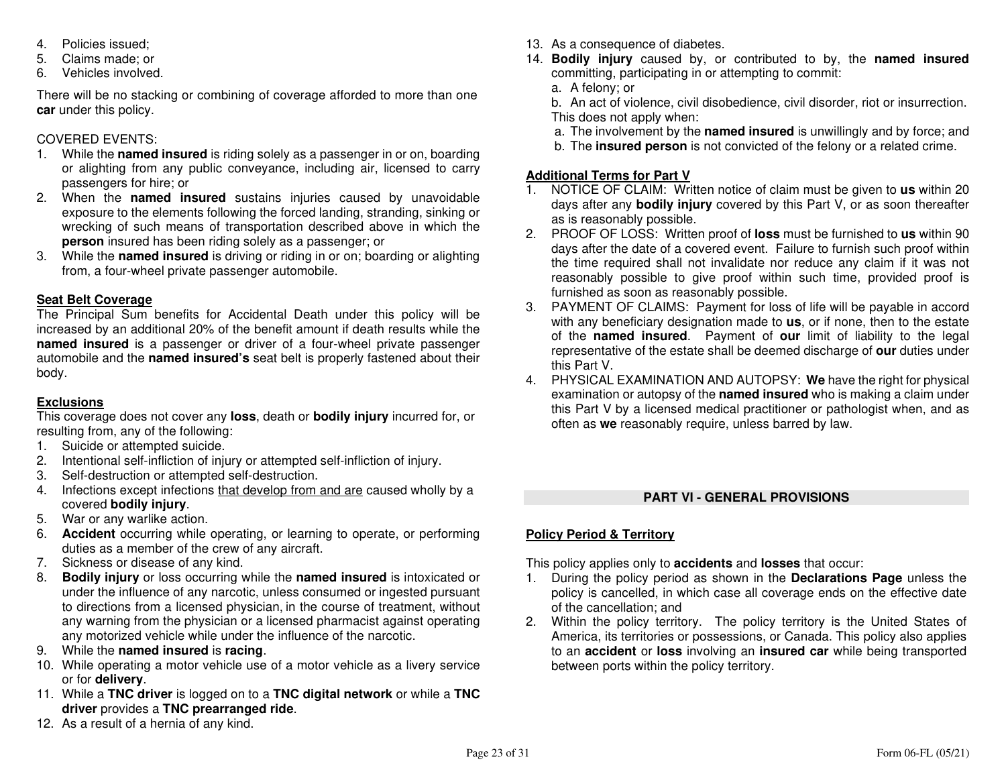- 4. Policies issued;
- 5. Claims made; or
- 6. Vehicles involved.

There will be no stacking or combining of coverage afforded to more than one **car** under this policy.

### COVERED EVENTS:

- 1. While the **named insured** is riding solely as a passenger in or on, boarding or alighting from any public conveyance, including air, licensed to carry passengers for hire; or
- 2. When the **named insured** sustains injuries caused by unavoidable exposure to the elements following the forced landing, stranding, sinking or wrecking of such means of transportation described above in which the **person** insured has been riding solely as a passenger; or
- 3. While the **named insured** is driving or riding in or on; boarding or alighting from, a four-wheel private passenger automobile.

### **Seat Belt Coverage**

 The Principal Sum benefits for Accidental Death under this policy will be increased by an additional 20% of the benefit amount if death results while the **named insured** is a passenger or driver of a four-wheel private passenger automobile and the **named insured's** seat belt is properly fastened about their body.

### **Exclusions**

 This coverage does not cover any **loss**, death or **bodily injury** incurred for, or resulting from, any of the following:

- 1. Suicide or attempted suicide.
- 2. Intentional self-infliction of injury or attempted self-infliction of injury.
- 3. Self-destruction or attempted self-destruction.
- 4. Infections except infections that develop from and are caused wholly by a covered **bodily injury**.
- 5. War or any warlike action.
- 6. **Accident** occurring while operating, or learning to operate, or performing duties as a member of the crew of any aircraft.
- 7. Sickness or disease of any kind.
- 8. **Bodily injury** or loss occurring while the **named insured** is intoxicated or under the influence of any narcotic, unless consumed or ingested pursuant to directions from a licensed physician, in the course of treatment, without any warning from the physician or a licensed pharmacist against operating any motorized vehicle while under the influence of the narcotic.
- 9. While the **named insured** is **racing**.
- 10. While operating a motor vehicle use of a motor vehicle as a livery service or for **delivery**.
- 11. While a **TNC driver** is logged on to a **TNC digital network** or while a **TNC driver** provides a **TNC prearranged ride**.
- 12. As a result of a hernia of any kind.
- 13. As a consequence of diabetes.
- 14. **Bodily injury** caused by, or contributed to by, the **named insured**committing, participating in or attempting to commit:
	- a. A felony; or
- b. An act of violence, civil disobedience, civil disorder, riot or insurrection. This does not apply when:
	- a. The involvement by the **named insured** is unwillingly and by force; and
	- b. The **insured person** is not convicted of the felony or a related crime.

### **Additional Terms for Part V**

- 1. NOTICE OF CLAIM: Written notice of claim must be given to **us** within 20 days after any **bodily injury** covered by this Part V, or as soon thereafter as is reasonably possible.
- 2. PROOF OF LOSS: Written proof of **loss** must be furnished to **us** within 90 days after the date of a covered event. Failure to furnish such proof within the time required shall not invalidate nor reduce any claim if it was not reasonably possible to give proof within such time, provided proof is furnished as soon as reasonably possible.
- 3. PAYMENT OF CLAIMS: Payment for loss of life will be payable in accord with any beneficiary designation made to **us**, or if none, then to the estate of the **named insured**. Payment of **our** limit of liability to the legal representative of the estate shall be deemed discharge of **our** duties under this Part V.
- 4. PHYSICAL EXAMINATION AND AUTOPSY: **We** have the right for physical examination or autopsy of the **named insured** who is making a claim under this Part V by a licensed medical practitioner or pathologist when, and as often as **we** reasonably require, unless barred by law.

### **PART VI - GENERAL PROVISIONS**

### **Policy Period & Territory**

This policy applies only to **accidents** and **losses** that occur:

- 1. During the policy period as shown in the **Declarations Page** unless the policy is cancelled, in which case all coverage ends on the effective date of the cancellation; and
- 2. Within the policy territory. The policy territory is the United States of America, its territories or possessions, or Canada. This policy also applies to an **accident** or **loss** involving an **insured car** while being transported between ports within the policy territory.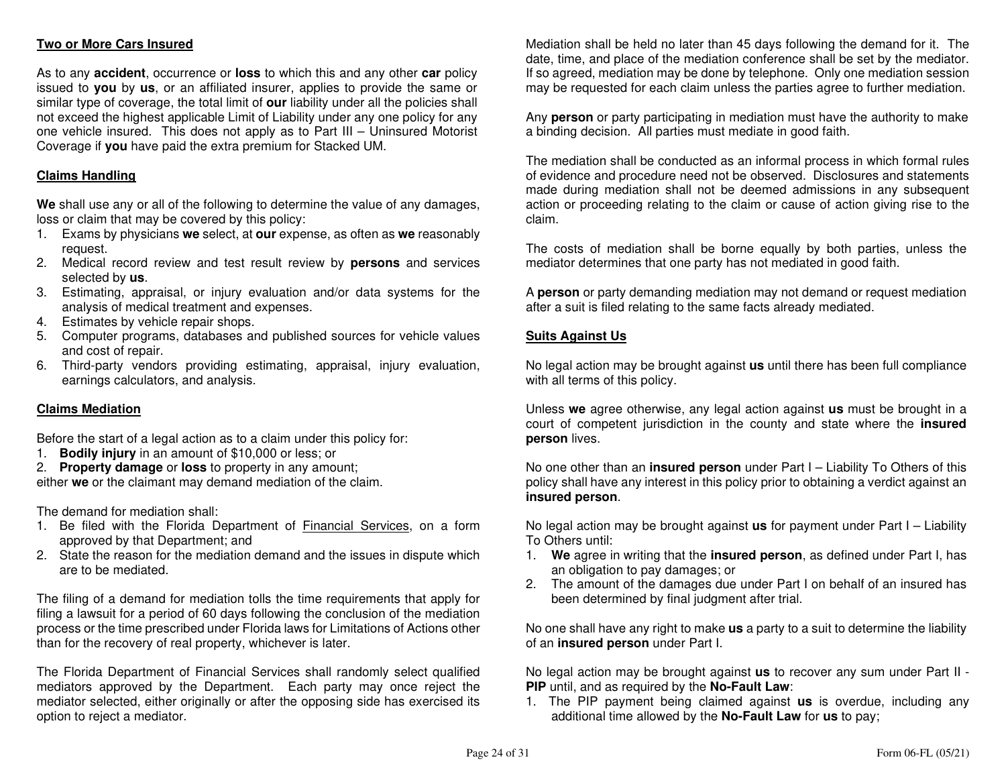### **Two or More Cars Insured**

As to any **accident**, occurrence or **loss** to which this and any other **car** policy issued to **you** by **us**, or an affiliated insurer, applies to provide the same or similar type of coverage, the total limit of **our** liability under all the policies shall not exceed the highest applicable Limit of Liability under any one policy for any one vehicle insured. This does not apply as to Part III – Uninsured Motorist Coverage if **you** have paid the extra premium for Stacked UM.

### **Claims Handling**

**We** shall use any or all of the following to determine the value of any damages, loss or claim that may be covered by this policy:

- 1. Exams by physicians **we** select, at **our** expense, as often as **we** reasonably request.
- 2. Medical record review and test result review by **persons** and services selected by **us**.
- 3. Estimating, appraisal, or injury evaluation and/or data systems for the analysis of medical treatment and expenses.
- 4. Estimates by vehicle repair shops.
- 5. Computer programs, databases and published sources for vehicle values and cost of repair.
- 6. Third-party vendors providing estimating, appraisal, injury evaluation, earnings calculators, and analysis.

### **Claims Mediation**

Before the start of a legal action as to a claim under this policy for:

1. **Bodily injury** in an amount of \$10,000 or less; or

 2. **Property damage** or **loss** to property in any amount; either **we** or the claimant may demand mediation of the claim.

The demand for mediation shall:

- 1. Be filed with the Florida Department of **Financial Services**, on a form approved by that Department; and
- 2. State the reason for the mediation demand and the issues in dispute which are to be mediated.

The filing of a demand for mediation tolls the time requirements that apply for filing a lawsuit for a period of 60 days following the conclusion of the mediation process or the time prescribed under Florida laws for Limitations of Actions other than for the recovery of real property, whichever is later.

The Florida Department of Financial Services shall randomly select qualified mediators approved by the Department. Each party may once reject the mediator selected, either originally or after the opposing side has exercised its option to reject a mediator.

Mediation shall be held no later than 45 days following the demand for it. The date, time, and place of the mediation conference shall be set by the mediator. If so agreed, mediation may be done by telephone. Only one mediation session may be requested for each claim unless the parties agree to further mediation.

Any **person** or party participating in mediation must have the authority to make a binding decision. All parties must mediate in good faith.

The mediation shall be conducted as an informal process in which formal rules of evidence and procedure need not be observed. Disclosures and statements made during mediation shall not be deemed admissions in any subsequent action or proceeding relating to the claim or cause of action giving rise to the claim.

The costs of mediation shall be borne equally by both parties, unless the mediator determines that one party has not mediated in good faith.

A **person** or party demanding mediation may not demand or request mediation after a suit is filed relating to the same facts already mediated.

### **Suits Against Us**

No legal action may be brought against **us** until there has been full compliance with all terms of this policy.

Unless **we** agree otherwise, any legal action against **us** must be brought in a court of competent jurisdiction in the county and state where the **insured person** lives.

No one other than an **insured person** under Part I – Liability To Others of this policy shall have any interest in this policy prior to obtaining a verdict against an **insured person**.

No legal action may be brought against **us** for payment under Part I – Liability To Others until:

- 1. **We** agree in writing that the **insured person**, as defined under Part I, has an obligation to pay damages; or
- 2. The amount of the damages due under Part I on behalf of an insured has been determined by final judgment after trial.

No one shall have any right to make **us** a party to a suit to determine the liability of an **insured person** under Part I.

No legal action may be brought against **us** to recover any sum under Part II - **PIP** until, and as required by the **No-Fault Law**:

 1. The PIP payment being claimed against **us** is overdue, including any additional time allowed by the **No-Fault Law** for **us** to pay;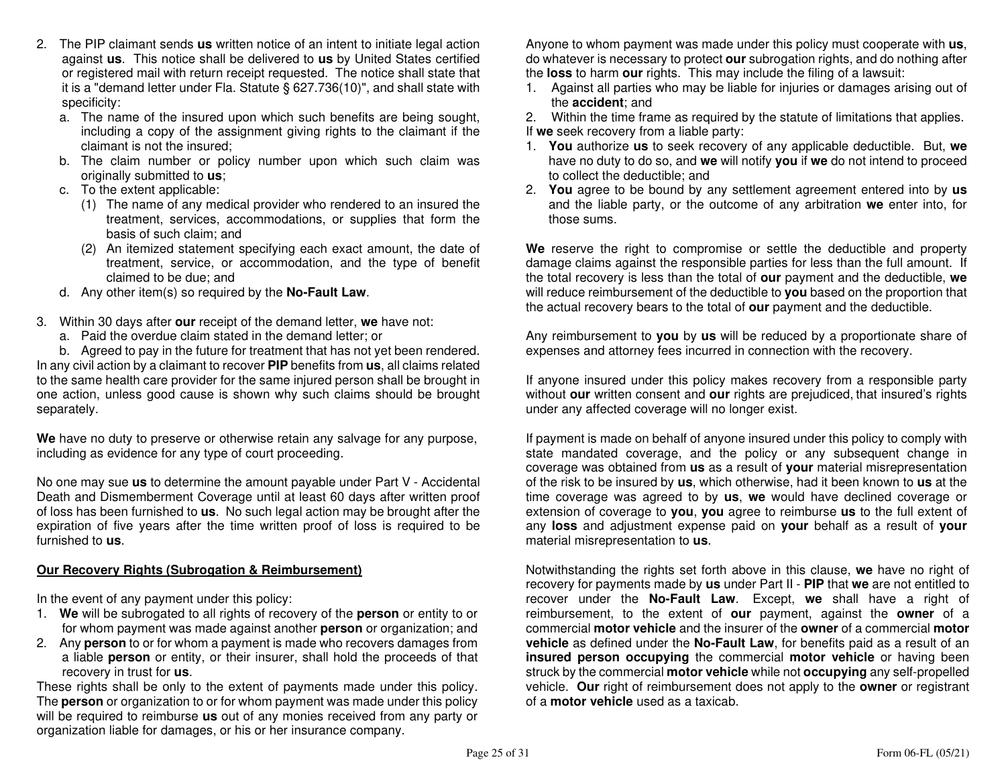- 2. The PIP claimant sends **us** written notice of an intent to initiate legal action against **us**. This notice shall be delivered to **us** by United States certified or registered mail with return receipt requested. The notice shall state that it is a "demand letter under Fla. Statute § 627.736(10)", and shall state with specificity:
- a. The name of the insured upon which such benefits are being sought, including a copy of the assignment giving rights to the claimant if the claimant is not the insured;
- b. The claim number or policy number upon which such claim was originally submitted to **us**;
	- c. To the extent applicable:
- (1) The name of any medical provider who rendered to an insured the treatment, services, accommodations, or supplies that form the basis of such claim; and
- (2) An itemized statement specifying each exact amount, the date of treatment, service, or accommodation, and the type of benefit claimed to be due; and
- d. Any other item(s) so required by the **No-Fault Law**.
- 3. Within 30 days after **our** receipt of the demand letter, **we** have not:
	- a. Paid the overdue claim stated in the demand letter; or

 b. Agreed to pay in the future for treatment that has not yet been rendered. In any civil action by a claimant to recover **PIP** benefits from **us**, all claims related to the same health care provider for the same injured person shall be brought in one action, unless good cause is shown why such claims should be brought separately.

**We** have no duty to preserve or otherwise retain any salvage for any purpose, including as evidence for any type of court proceeding.

No one may sue **us** to determine the amount payable under Part V - Accidental Death and Dismemberment Coverage until at least 60 days after written proof of loss has been furnished to **us**. No such legal action may be brought after the expiration of five years after the time written proof of loss is required to be furnished to **us**.

### **Our Recovery Rights (Subrogation & Reimbursement)**

In the event of any payment under this policy:

- 1. **We** will be subrogated to all rights of recovery of the **person** or entity to or for whom payment was made against another **person** or organization; and
- 2. Any **person** to or for whom a payment is made who recovers damages from a liable **person** or entity, or their insurer, shall hold the proceeds of that recovery in trust for **us**.

 These rights shall be only to the extent of payments made under this policy. The **person** or organization to or for whom payment was made under this policy will be required to reimburse **us** out of any monies received from any party or organization liable for damages, or his or her insurance company.

Anyone to whom payment was made under this policy must cooperate with **us**, do whatever is necessary to protect **our** subrogation rights, and do nothing after the **loss** to harm **our** rights. This may include the filing of a lawsuit:

 1. Against all parties who may be liable for injuries or damages arising out of the **accident**; and

 2. Within the time frame as required by the statute of limitations that applies. If **we** seek recovery from a liable party:

- 1. **You** authorize **us** to seek recovery of any applicable deductible. But, **we**  have no duty to do so, and **we** will notify **you** if **we** do not intend to proceed to collect the deductible; and
- 2. **You** agree to be bound by any settlement agreement entered into by **us** and the liable party, or the outcome of any arbitration **we** enter into, for those sums.

**We** reserve the right to compromise or settle the deductible and property damage claims against the responsible parties for less than the full amount. If the total recovery is less than the total of **our** payment and the deductible, **we**  will reduce reimbursement of the deductible to **you** based on the proportion that the actual recovery bears to the total of **our** payment and the deductible.

Any reimbursement to **you** by **us** will be reduced by a proportionate share of expenses and attorney fees incurred in connection with the recovery.

If anyone insured under this policy makes recovery from a responsible party without **our** written consent and **our** rights are prejudiced, that insured's rights under any affected coverage will no longer exist.

If payment is made on behalf of anyone insured under this policy to comply with state mandated coverage, and the policy or any subsequent change in coverage was obtained from **us** as a result of **your** material misrepresentation of the risk to be insured by **us**, which otherwise, had it been known to **us** at the time coverage was agreed to by **us**, **we** would have declined coverage or extension of coverage to **you**, **you** agree to reimburse **us** to the full extent of any **loss** and adjustment expense paid on **your** behalf as a result of **your**material misrepresentation to **us**.

Notwithstanding the rights set forth above in this clause, **we** have no right of recovery for payments made by **us** under Part II - **PIP** that **we** are not entitled to recover under the **No-Fault Law**. Except, **we** shall have a right of reimbursement, to the extent of **our** payment, against the **owner** of a commercial **motor vehicle** and the insurer of the **owner** of a commercial **motor vehicle** as defined under the **No-Fault Law**, for benefits paid as a result of an **insured person occupying** the commercial **motor vehicle** or having been struck by the commercial **motor vehicle** while not **occupying** any self-propelled vehicle. **Our** right of reimbursement does not apply to the **owner** or registrant of a **motor vehicle** used as a taxicab.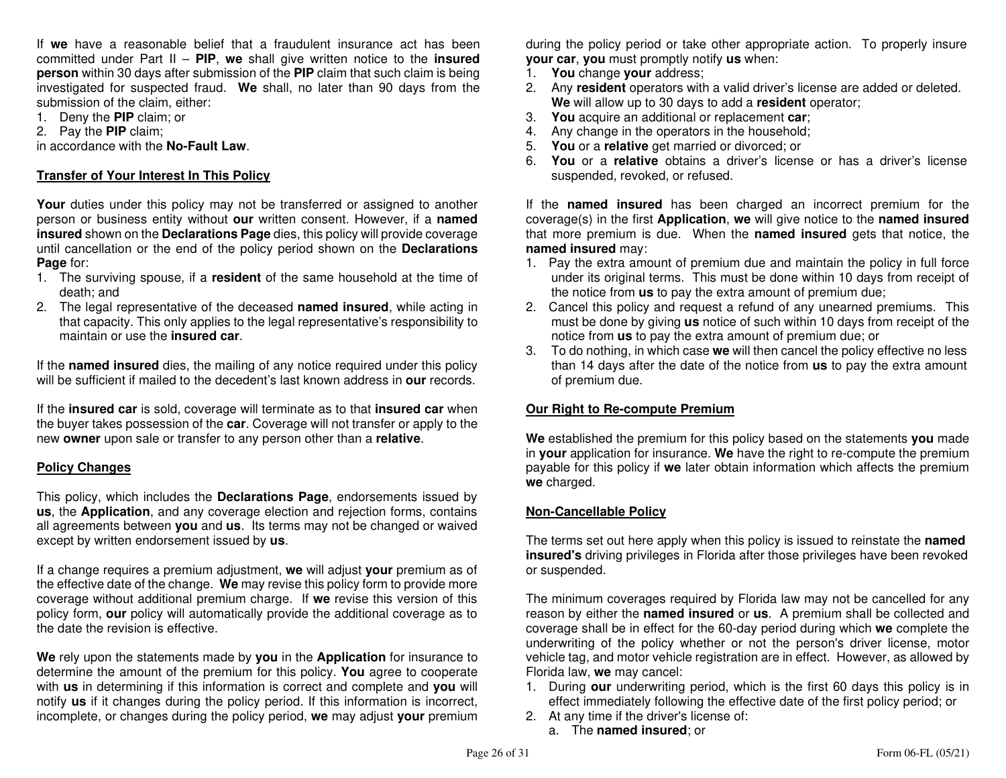If **we** have a reasonable belief that a fraudulent insurance act has been committed under Part II – **PIP**, **we** shall give written notice to the **insured person** within 30 days after submission of the **PIP** claim that such claim is being investigated for suspected fraud. **We** shall, no later than 90 days from the submission of the claim, either:

- 1. Deny the **PIP** claim; or
- 2. Pay the **PIP** claim;

in accordance with the **No-Fault Law**.

#### **Transfer of Your Interest In This Policy**

**Your** duties under this policy may not be transferred or assigned to another person or business entity without **our** written consent. However, if a **named insured** shown on the **Declarations Page** dies, this policy will provide coverage until cancellation or the end of the policy period shown on the **Declarations Page** for:

- 1. The surviving spouse, if a **resident** of the same household at the time of death; and
- 2. The legal representative of the deceased **named insured**, while acting in that capacity. This only applies to the legal representative's responsibility to maintain or use the **insured car**.

If the **named insured** dies, the mailing of any notice required under this policy will be sufficient if mailed to the decedent's last known address in **our** records.

If the **insured car** is sold, coverage will terminate as to that **insured car** when the buyer takes possession of the **car**. Coverage will not transfer or apply to the new **owner** upon sale or transfer to any person other than a **relative**.

### **Policy Changes**

This policy, which includes the **Declarations Page**, endorsements issued by **us**, the **Application**, and any coverage election and rejection forms, contains all agreements between **you** and **us**. Its terms may not be changed or waived except by written endorsement issued by **us**.

If a change requires a premium adjustment, **we** will adjust **your** premium as of the effective date of the change. **We** may revise this policy form to provide more coverage without additional premium charge. If **we** revise this version of this policy form, **our** policy will automatically provide the additional coverage as to the date the revision is effective.

**We** rely upon the statements made by **you** in the **Application** for insurance to determine the amount of the premium for this policy. **You** agree to cooperate with **us** in determining if this information is correct and complete and **you** will notify **us** if it changes during the policy period. If this information is incorrect, incomplete, or changes during the policy period, **we** may adjust **your** premium during the policy period or take other appropriate action. To properly insure **your car**, **you** must promptly notify **us** when:

- 1. **You** change **your** address;
- 2. Any **resident** operators with a valid driver's license are added or deleted. **We** will allow up to 30 days to add a **resident** operator;
- 3. **You** acquire an additional or replacement **car**;
- 4. Any change in the operators in the household;
- 5. **You** or a **relative** get married or divorced; or
- 6. **You** or a **relative** obtains a driver's license or has a driver's license suspended, revoked, or refused.

If the **named insured** has been charged an incorrect premium for the coverage(s) in the first **Application**, **we** will give notice to the **named insured** that more premium is due. When the **named insured** gets that notice, the **named insured** may:

- 1. Pay the extra amount of premium due and maintain the policy in full force under its original terms. This must be done within 10 days from receipt of the notice from **us** to pay the extra amount of premium due;
- 2. Cancel this policy and request a refund of any unearned premiums. This must be done by giving **us** notice of such within 10 days from receipt of the notice from **us** to pay the extra amount of premium due; or
- 3. To do nothing, in which case **we** will then cancel the policy effective no less than 14 days after the date of the notice from **us** to pay the extra amount of premium due.

#### **Our Right to Re-compute Premium**

**We** established the premium for this policy based on the statements **you** made in **your** application for insurance. **We** have the right to re-compute the premium payable for this policy if **we** later obtain information which affects the premium**we** charged.

#### **Non-Cancellable Policy**

The terms set out here apply when this policy is issued to reinstate the **named insured's** driving privileges in Florida after those privileges have been revoked or suspended.

The minimum coverages required by Florida law may not be cancelled for any reason by either the **named insured** or **us**. A premium shall be collected and coverage shall be in effect for the 60-day period during which **we** complete the underwriting of the policy whether or not the person's driver license, motor vehicle tag, and motor vehicle registration are in effect. However, as allowed by Florida law, **we** may cancel:

- 1. During **our** underwriting period, which is the first 60 days this policy is in effect immediately following the effective date of the first policy period; or
- 2. At any time if the driver's license of:
	- a. The **named insured**; or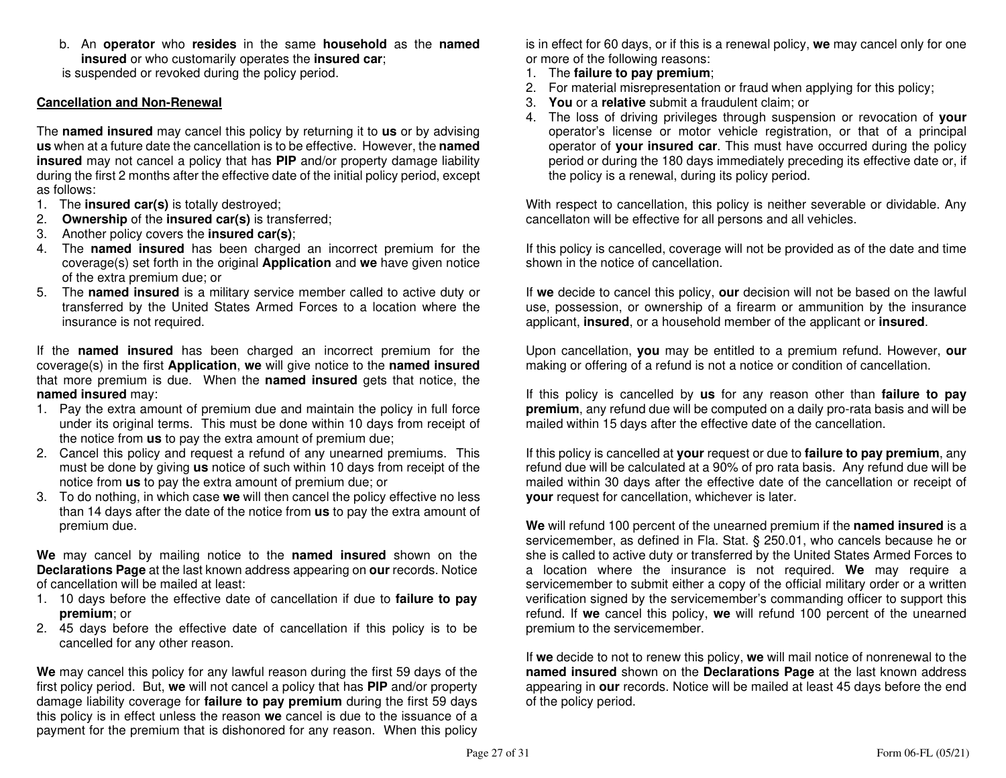b. An **operator** who **resides** in the same **household** as the **named insured** or who customarily operates the **insured car**;

is suspended or revoked during the policy period.

#### **Cancellation and Non-Renewal**

The **named insured** may cancel this policy by returning it to **us** or by advising **us** when at a future date the cancellation is to be effective. However, the **named insured** may not cancel a policy that has **PIP** and/or property damage liability during the first 2 months after the effective date of the initial policy period, except as follows:

- 1. The **insured car(s)** is totally destroyed;
- 2. **Ownership** of the **insured car(s)** is transferred;
- 3. Another policy covers the **insured car(s)**;
- 4. The **named insured** has been charged an incorrect premium for the coverage(s) set forth in the original **Application** and **we** have given notice of the extra premium due; or
- 5. The **named insured** is a military service member called to active duty or transferred by the United States Armed Forces to a location where the insurance is not required.

If the **named insured** has been charged an incorrect premium for the coverage(s) in the first **Application**, **we** will give notice to the **named insured** that more premium is due. When the **named insured** gets that notice, the **named insured** may:

- 1. Pay the extra amount of premium due and maintain the policy in full force under its original terms. This must be done within 10 days from receipt of the notice from **us** to pay the extra amount of premium due;
- 2. Cancel this policy and request a refund of any unearned premiums. This must be done by giving **us** notice of such within 10 days from receipt of the notice from **us** to pay the extra amount of premium due; or
- 3. To do nothing, in which case **we** will then cancel the policy effective no less than 14 days after the date of the notice from **us** to pay the extra amount of premium due.

**We** may cancel by mailing notice to the **named insured** shown on the **Declarations Page** at the last known address appearing on **our** records. Notice of cancellation will be mailed at least:

- 1. 10 days before the effective date of cancellation if due to **failure to pay premium**; or
- 2. 45 days before the effective date of cancellation if this policy is to be cancelled for any other reason.

**We** may cancel this policy for any lawful reason during the first 59 days of the first policy period. But, **we** will not cancel a policy that has **PIP** and/or property damage liability coverage for **failure to pay premium** during the first 59 days this policy is in effect unless the reason **we** cancel is due to the issuance of a payment for the premium that is dishonored for any reason. When this policy

is in effect for 60 days, or if this is a renewal policy, **we** may cancel only for one or more of the following reasons:

- 1. The **failure to pay premium**;
- 2. For material misrepresentation or fraud when applying for this policy;
- 3. **You** or a **relative** submit a fraudulent claim; or
- 4. The loss of driving privileges through suspension or revocation of **your** operator's license or motor vehicle registration, or that of a principal operator of **your insured car**. This must have occurred during the policy period or during the 180 days immediately preceding its effective date or, if the policy is a renewal, during its policy period.

With respect to cancellation, this policy is neither severable or dividable. Any cancellaton will be effective for all persons and all vehicles.

If this policy is cancelled, coverage will not be provided as of the date and time shown in the notice of cancellation.

If **we** decide to cancel this policy, **our** decision will not be based on the lawful use, possession, or ownership of a firearm or ammunition by the insurance applicant, **insured**, or a household member of the applicant or **insured**.

Upon cancellation, **you** may be entitled to a premium refund. However, **our**making or offering of a refund is not a notice or condition of cancellation.

If this policy is cancelled by **us** for any reason other than **failure to pay premium**, any refund due will be computed on a daily pro-rata basis and will be mailed within 15 days after the effective date of the cancellation.

If this policy is cancelled at **your** request or due to **failure to pay premium**, any refund due will be calculated at a 90% of pro rata basis. Any refund due will be mailed within 30 days after the effective date of the cancellation or receipt of **your** request for cancellation, whichever is later.

**We** will refund 100 percent of the unearned premium if the **named insured** is a servicemember, as defined in Fla. Stat. § 250.01, who cancels because he or she is called to active duty or transferred by the United States Armed Forces to a location where the insurance is not required. **We** may require a servicemember to submit either a copy of the official military order or a written verification signed by the servicemember's commanding officer to support this refund. If **we** cancel this policy, **we** will refund 100 percent of the unearned premium to the servicemember.

If **we** decide to not to renew this policy, **we** will mail notice of nonrenewal to the **named insured** shown on the **Declarations Page** at the last known address appearing in **our** records. Notice will be mailed at least 45 days before the end of the policy period.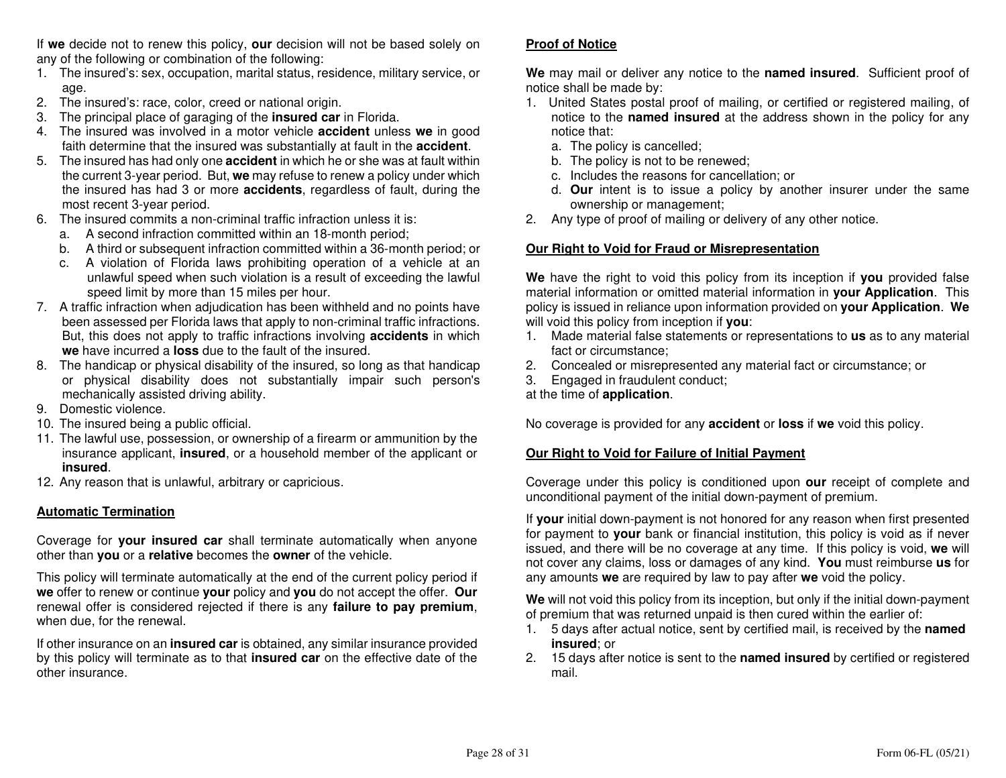If **we** decide not to renew this policy, **our** decision will not be based solely on any of the following or combination of the following:

- 1. The insured's: sex, occupation, marital status, residence, military service, or age.
- 2. The insured's: race, color, creed or national origin.
- 3. The principal place of garaging of the **insured car** in Florida.
- 4. The insured was involved in a motor vehicle **accident** unless **we** in good faith determine that the insured was substantially at fault in the **accident**.
- 5. The insured has had only one **accident** in which he or she was at fault within the current 3-year period. But, **we** may refuse to renew a policy under which the insured has had 3 or more **accidents**, regardless of fault, during the most recent 3-year period.
- 6. The insured commits a non-criminal traffic infraction unless it is:
	- a. A second infraction committed within an 18-month period;
- b. A third or subsequent infraction committed within a 36-month period; or
- c. A violation of Florida laws prohibiting operation of a vehicle at an unlawful speed when such violation is a result of exceeding the lawful speed limit by more than 15 miles per hour.
- 7. A traffic infraction when adjudication has been withheld and no points have been assessed per Florida laws that apply to non-criminal traffic infractions. But, this does not apply to traffic infractions involving **accidents** in which **we** have incurred a **loss** due to the fault of the insured.
- 8. The handicap or physical disability of the insured, so long as that handicap or physical disability does not substantially impair such person's mechanically assisted driving ability.
- 9. Domestic violence.
- 10. The insured being a public official.
- 11. The lawful use, possession, or ownership of a firearm or ammunition by the insurance applicant, **insured**, or a household member of the applicant or **insured**.
- 12. Any reason that is unlawful, arbitrary or capricious.

### **Automatic Termination**

Coverage for **your insured car** shall terminate automatically when anyone other than **you** or a **relative** becomes the **owner** of the vehicle.

This policy will terminate automatically at the end of the current policy period if **we** offer to renew or continue **your** policy and **you** do not accept the offer. **Our**  renewal offer is considered rejected if there is any **failure to pay premium**, when due, for the renewal.

If other insurance on an **insured car** is obtained, any similar insurance provided by this policy will terminate as to that **insured car** on the effective date of the other insurance.

#### **Proof of Notice**

**We** may mail or deliver any notice to the **named insured**. Sufficient proof of notice shall be made by:

- 1. United States postal proof of mailing, or certified or registered mailing, of notice to the **named insured** at the address shown in the policy for any notice that:
- a. The policy is cancelled;
- b. The policy is not to be renewed;
- c. Includes the reasons for cancellation; or
- d. **Our** intent is to issue a policy by another insurer under the same ownership or management;
- 2. Any type of proof of mailing or delivery of any other notice.

#### **Our Right to Void for Fraud or Misrepresentation**

**We** have the right to void this policy from its inception if **you** provided false material information or omitted material information in **your Application**. This policy is issued in reliance upon information provided on **your Application**. **We**will void this policy from inception if **you**:

- 1. Made material false statements or representations to **us** as to any material fact or circumstance;
- 2. Concealed or misrepresented any material fact or circumstance; or
- 3. Engaged in fraudulent conduct;

at the time of **application**.

No coverage is provided for any **accident** or **loss** if **we** void this policy.

#### **Our Right to Void for Failure of Initial Payment**

Coverage under this policy is conditioned upon **our** receipt of complete and unconditional payment of the initial down-payment of premium.

If **your** initial down-payment is not honored for any reason when first presented for payment to **your** bank or financial institution, this policy is void as if never issued, and there will be no coverage at any time. If this policy is void, **we** will not cover any claims, loss or damages of any kind. **You** must reimburse **us** for any amounts **we** are required by law to pay after **we** void the policy.

**We** will not void this policy from its inception, but only if the initial down-payment of premium that was returned unpaid is then cured within the earlier of:

- 1. 5 days after actual notice, sent by certified mail, is received by the **named insured**; or
- 2. 15 days after notice is sent to the **named insured** by certified or registered mail.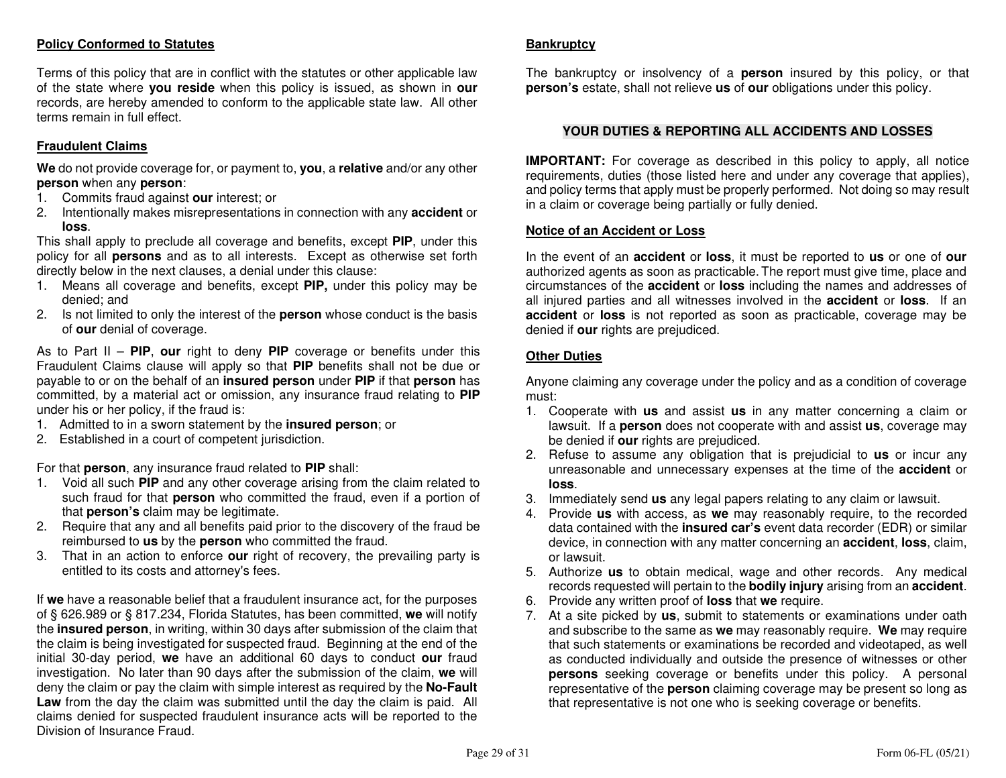### **Policy Conformed to Statutes**

Terms of this policy that are in conflict with the statutes or other applicable law of the state where **you reside** when this policy is issued, as shown in **our**  records, are hereby amended to conform to the applicable state law. All other terms remain in full effect.

### **Fraudulent Claims**

**We** do not provide coverage for, or payment to, **you**, a **relative** and/or any other **person** when any **person**:

- 1. Commits fraud against **our** interest; or
- 2. Intentionally makes misrepresentations in connection with any **accident** or **loss**.

 This shall apply to preclude all coverage and benefits, except **PIP**, under this policy for all **persons** and as to all interests. Except as otherwise set forth directly below in the next clauses, a denial under this clause:

- 1. Means all coverage and benefits, except **PIP,** under this policy may be denied; and
- 2. Is not limited to only the interest of the **person** whose conduct is the basis of **our** denial of coverage.

As to Part II – **PIP**, **our** right to deny **PIP** coverage or benefits under this Fraudulent Claims clause will apply so that **PIP** benefits shall not be due or payable to or on the behalf of an **insured person** under **PIP** if that **person** has committed, by a material act or omission, any insurance fraud relating to **PIP**under his or her policy, if the fraud is:

- 1. Admitted to in a sworn statement by the **insured person**; or
- 2. Established in a court of competent jurisdiction.

For that **person**, any insurance fraud related to **PIP** shall:

- 1. Void all such **PIP** and any other coverage arising from the claim related to such fraud for that **person** who committed the fraud, even if a portion of that **person's** claim may be legitimate.
- 2. Require that any and all benefits paid prior to the discovery of the fraud be reimbursed to **us** by the **person** who committed the fraud.
- 3. That in an action to enforce **our** right of recovery, the prevailing party is entitled to its costs and attorney's fees.

If **we** have a reasonable belief that a fraudulent insurance act, for the purposes of § 626.989 or § 817.234, Florida Statutes, has been committed, **we** will notify the **insured person**, in writing, within 30 days after submission of the claim that the claim is being investigated for suspected fraud. Beginning at the end of the initial 30-day period, **we** have an additional 60 days to conduct **our** fraud investigation. No later than 90 days after the submission of the claim, **we** will deny the claim or pay the claim with simple interest as required by the **No-Fault Law** from the day the claim was submitted until the day the claim is paid. All claims denied for suspected fraudulent insurance acts will be reported to the Division of Insurance Fraud.

#### **Bankruptcy**

The bankruptcy or insolvency of a **person** insured by this policy, or that **person's** estate, shall not relieve **us** of **our** obligations under this policy.

### **YOUR DUTIES & REPORTING ALL ACCIDENTS AND LOSSES**

**IMPORTANT:** For coverage as described in this policy to apply, all notice requirements, duties (those listed here and under any coverage that applies), and policy terms that apply must be properly performed. Not doing so may result in a claim or coverage being partially or fully denied.

#### **Notice of an Accident or Loss**

In the event of an **accident** or **loss**, it must be reported to **us** or one of **our**  authorized agents as soon as practicable. The report must give time, place and circumstances of the **accident** or **loss** including the names and addresses of all injured parties and all witnesses involved in the **accident** or **loss**. If an **accident** or **loss** is not reported as soon as practicable, coverage may be denied if **our** rights are prejudiced.

#### **Other Duties**

Anyone claiming any coverage under the policy and as a condition of coverage must:

- 1. Cooperate with **us** and assist **us** in any matter concerning a claim or lawsuit. If a **person** does not cooperate with and assist **us**, coverage may be denied if **our** rights are prejudiced.
- 2. Refuse to assume any obligation that is prejudicial to **us** or incur any unreasonable and unnecessary expenses at the time of the **accident** or **loss**.
- 3. Immediately send **us** any legal papers relating to any claim or lawsuit.
- 4. Provide **us** with access, as **we** may reasonably require, to the recorded data contained with the **insured car's** event data recorder (EDR) or similar device, in connection with any matter concerning an **accident**, **loss**, claim, or lawsuit.
- 5. Authorize **us** to obtain medical, wage and other records. Any medical records requested will pertain to the **bodily injury** arising from an **accident**.
- 6. Provide any written proof of **loss** that **we** require.
- 7. At a site picked by **us**, submit to statements or examinations under oath and subscribe to the same as **we** may reasonably require. **We** may require that such statements or examinations be recorded and videotaped, as well as conducted individually and outside the presence of witnesses or other **persons** seeking coverage or benefits under this policy. A personal representative of the **person** claiming coverage may be present so long as that representative is not one who is seeking coverage or benefits.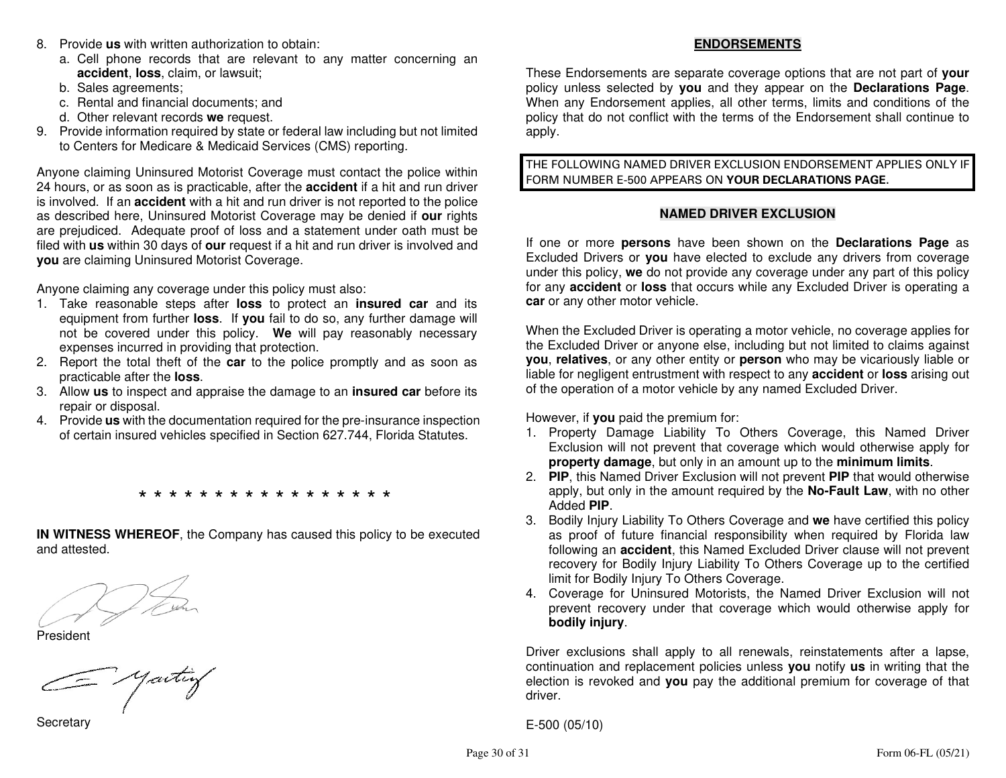- 8. Provide **us** with written authorization to obtain:
	- a. Cell phone records that are relevant to any matter concerning an **accident**, **loss**, claim, or lawsuit;
	- b. Sales agreements;
	- c. Rental and financial documents; and
	- d. Other relevant records **we** request.
- 9. Provide information required by state or federal law including but not limited to Centers for Medicare & Medicaid Services (CMS) reporting.

Anyone claiming Uninsured Motorist Coverage must contact the police within 24 hours, or as soon as is practicable, after the **accident** if a hit and run driver is involved. If an **accident** with a hit and run driver is not reported to the police as described here, Uninsured Motorist Coverage may be denied if **our** rights are prejudiced. Adequate proof of loss and a statement under oath must be filed with **us** within 30 days of **our** request if a hit and run driver is involved and **you** are claiming Uninsured Motorist Coverage.

Anyone claiming any coverage under this policy must also:

- 1. Take reasonable steps after **loss** to protect an **insured car** and its equipment from further **loss**. If **you** fail to do so, any further damage will not be covered under this policy. **We** will pay reasonably necessary expenses incurred in providing that protection.
- 2. Report the total theft of the **car** to the police promptly and as soon as practicable after the **loss**.
- 3. Allow **us** to inspect and appraise the damage to an **insured car** before its repair or disposal.
- 4. Provide **us** with the documentation required for the pre-insurance inspection of certain insured vehicles specified in Section 627.744, Florida Statutes.

\* \* \* \* \* \* \* \* \* \* \* \* \* \* \* \* \*

**IN WITNESS WHEREOF**, the Company has caused this policy to be executedand attested.

President

= yartiy

**Secretary** 

### **ENDORSEMENTS**

These Endorsements are separate coverage options that are not part of **your** policy unless selected by **you** and they appear on the **Declarations Page**. When any Endorsement applies, all other terms, limits and conditions of the policy that do not conflict with the terms of the Endorsement shall continue to apply.

THE FOLLOWING NAMED DRIVER EXCLUSION ENDORSEMENT APPLIES ONLY IF FORM NUMBER E-500 APPEARS ON **YOUR DECLARATIONS PAGE**.

#### **NAMED DRIVER EXCLUSION**

If one or more **persons** have been shown on the **Declarations Page** as Excluded Drivers or **you** have elected to exclude any drivers from coverage under this policy, **we** do not provide any coverage under any part of this policy for any **accident** or **loss** that occurs while any Excluded Driver is operating a **car** or any other motor vehicle.

When the Excluded Driver is operating a motor vehicle, no coverage applies for the Excluded Driver or anyone else, including but not limited to claims against **you**, **relatives**, or any other entity or **person** who may be vicariously liable or liable for negligent entrustment with respect to any **accident** or **loss** arising out of the operation of a motor vehicle by any named Excluded Driver.

However, if **you** paid the premium for:

- 1. Property Damage Liability To Others Coverage, this Named Driver Exclusion will not prevent that coverage which would otherwise apply for **property damage**, but only in an amount up to the **minimum limits**.
- 2. **PIP**, this Named Driver Exclusion will not prevent **PIP** that would otherwise apply, but only in the amount required by the **No-Fault Law**, with no other Added **PIP**.
- 3. Bodily Injury Liability To Others Coverage and **we** have certified this policy as proof of future financial responsibility when required by Florida law following an **accident**, this Named Excluded Driver clause will not prevent recovery for Bodily Injury Liability To Others Coverage up to the certified limit for Bodily Injury To Others Coverage.
- 4. Coverage for Uninsured Motorists, the Named Driver Exclusion will not prevent recovery under that coverage which would otherwise apply for **bodily injury**.

Driver exclusions shall apply to all renewals, reinstatements after a lapse, continuation and replacement policies unless **you** notify **us** in writing that the election is revoked and **you** pay the additional premium for coverage of that driver.

E-500 (05/10)